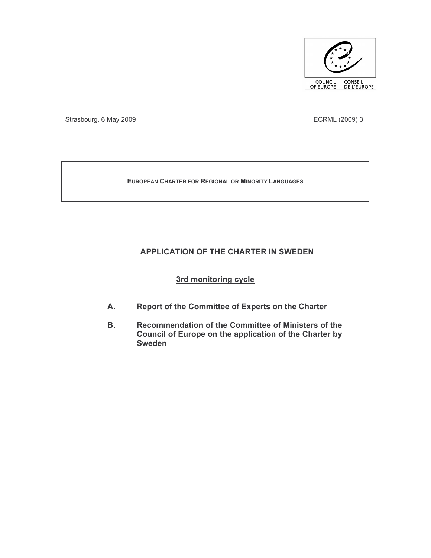

Strasbourg, 6 May 2009

ECRML (2009) 3

**EUROPEAN CHARTER FOR REGIONAL OR MINORITY LANGUAGES** 

# **APPLICATION OF THE CHARTER IN SWEDEN**

# 3rd monitoring cycle

- Report of the Committee of Experts on the Charter А.
- **B.** Recommendation of the Committee of Ministers of the Council of Europe on the application of the Charter by **Sweden**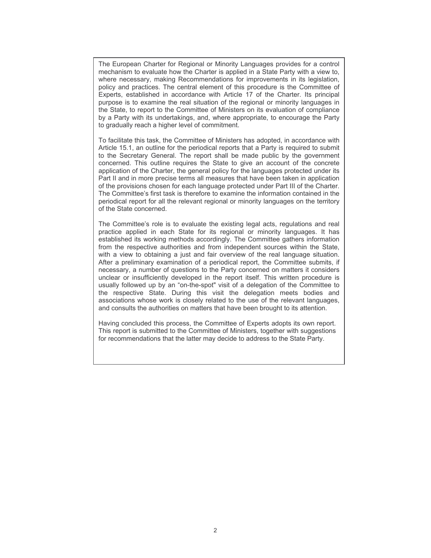The European Charter for Regional or Minority Languages provides for a control mechanism to evaluate how the Charter is applied in a State Party with a view to, where necessary, making Recommendations for improvements in its legislation, policy and practices. The central element of this procedure is the Committee of Experts, established in accordance with Article 17 of the Charter. Its principal purpose is to examine the real situation of the regional or minority languages in the State, to report to the Committee of Ministers on its evaluation of compliance by a Party with its undertakings, and, where appropriate, to encourage the Party to gradually reach a higher level of commitment.

To facilitate this task, the Committee of Ministers has adopted, in accordance with Article 15.1, an outline for the periodical reports that a Party is required to submit to the Secretary General. The report shall be made public by the government concerned. This outline requires the State to give an account of the concrete application of the Charter, the general policy for the languages protected under its Part II and in more precise terms all measures that have been taken in application of the provisions chosen for each language protected under Part III of the Charter. The Committee's first task is therefore to examine the information contained in the periodical report for all the relevant regional or minority languages on the territory of the State concerned.

The Committee's role is to evaluate the existing legal acts, regulations and real practice applied in each State for its regional or minority languages. It has established its working methods accordingly. The Committee gathers information from the respective authorities and from independent sources within the State, with a view to obtaining a just and fair overview of the real language situation. After a preliminary examination of a periodical report, the Committee submits, if necessary, a number of questions to the Party concerned on matters it considers unclear or insufficiently developed in the report itself. This written procedure is usually followed up by an "on-the-spot" visit of a delegation of the Committee to the respective State. During this visit the delegation meets bodies and associations whose work is closely related to the use of the relevant languages, and consults the authorities on matters that have been brought to its attention.

Having concluded this process, the Committee of Experts adopts its own report. This report is submitted to the Committee of Ministers, together with suggestions for recommendations that the latter may decide to address to the State Party.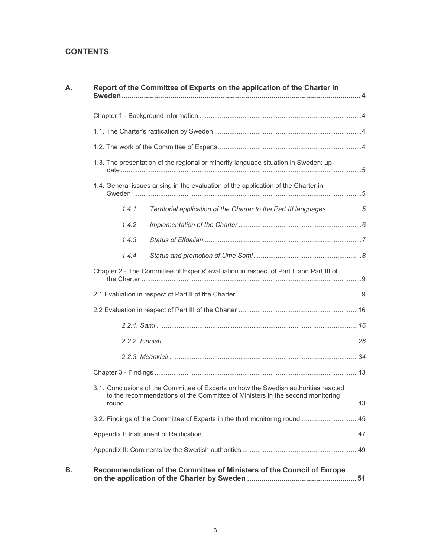# **CONTENTS**

| Α. | Report of the Committee of Experts on the application of the Charter in                                                                                                       |  |
|----|-------------------------------------------------------------------------------------------------------------------------------------------------------------------------------|--|
|    |                                                                                                                                                                               |  |
|    |                                                                                                                                                                               |  |
|    |                                                                                                                                                                               |  |
|    | 1.3. The presentation of the regional or minority language situation in Sweden: up-                                                                                           |  |
|    | 1.4. General issues arising in the evaluation of the application of the Charter in                                                                                            |  |
|    | 1.4.1<br>Territorial application of the Charter to the Part III languages5                                                                                                    |  |
|    | 1.4.2                                                                                                                                                                         |  |
|    | 1.4.3                                                                                                                                                                         |  |
|    | 1.4.4                                                                                                                                                                         |  |
|    | Chapter 2 - The Committee of Experts' evaluation in respect of Part II and Part III of                                                                                        |  |
|    |                                                                                                                                                                               |  |
|    |                                                                                                                                                                               |  |
|    |                                                                                                                                                                               |  |
|    |                                                                                                                                                                               |  |
|    |                                                                                                                                                                               |  |
|    |                                                                                                                                                                               |  |
|    | 3.1. Conclusions of the Committee of Experts on how the Swedish authorities reacted<br>to the recommendations of the Committee of Ministers in the second monitoring<br>round |  |
|    | 3.2. Findings of the Committee of Experts in the third monitoring round45                                                                                                     |  |
|    |                                                                                                                                                                               |  |
|    |                                                                                                                                                                               |  |
|    | Recommendation of the Committee of Ministers of the Council of Europe                                                                                                         |  |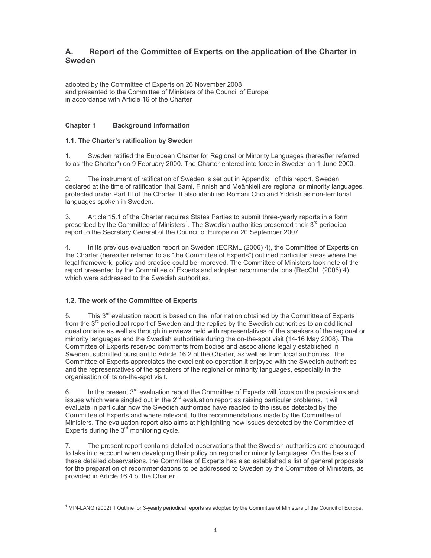#### Report of the Committee of Experts on the application of the Charter in А. **Sweden**

adopted by the Committee of Experts on 26 November 2008 and presented to the Committee of Ministers of the Council of Europe in accordance with Article 16 of the Charter

#### **Chapter 1 Background information**

## 1.1. The Charter's ratification by Sweden

 $1.$ Sweden ratified the European Charter for Regional or Minority Languages (hereafter referred to as "the Charter") on 9 February 2000. The Charter entered into force in Sweden on 1 June 2000.

The instrument of ratification of Sweden is set out in Appendix I of this report. Sweden  $2.$ declared at the time of ratification that Sami, Finnish and Meänkieli are regional or minority languages, protected under Part III of the Charter. It also identified Romani Chib and Yiddish as non-territorial languages spoken in Sweden.

Article 15.1 of the Charter requires States Parties to submit three-yearly reports in a form 3. prescribed by the Committee of Ministers<sup>1</sup>. The Swedish authorities presented their 3<sup>rd</sup> periodical report to the Secretary General of the Council of Europe on 20 September 2007.

In its previous evaluation report on Sweden (ECRML (2006) 4), the Committee of Experts on  $\overline{4}$ the Charter (hereafter referred to as "the Committee of Experts") outlined particular areas where the legal framework, policy and practice could be improved. The Committee of Ministers took note of the report presented by the Committee of Experts and adopted recommendations (RecChL (2006) 4), which were addressed to the Swedish authorities

## 1.2. The work of the Committee of Experts

This  $3<sup>rd</sup>$  evaluation report is based on the information obtained by the Committee of Experts 5. from the 3<sup>rd</sup> periodical report of Sweden and the replies by the Swedish authorities to an additional questionnaire as well as through interviews held with representatives of the speakers of the regional or minority languages and the Swedish authorities during the on-the-spot visit (14-16 May 2008). The Committee of Experts received comments from bodies and associations legally established in Sweden, submitted pursuant to Article 16.2 of the Charter, as well as from local authorities. The Committee of Experts appreciates the excellent co-operation it enjoyed with the Swedish authorities and the representatives of the speakers of the regional or minority languages, especially in the organisation of its on-the-spot visit.

In the present  $3<sup>rd</sup>$  evaluation report the Committee of Experts will focus on the provisions and 6. issues which were singled out in the 2<sup>nd</sup> evaluation report as raising particular problems. It will evaluate in particular how the Swedish authorities have reacted to the issues detected by the Committee of Experts and where relevant, to the recommendations made by the Committee of Ministers. The evaluation report also aims at highlighting new issues detected by the Committee of Experts during the 3<sup>rd</sup> monitoring cycle.

The present report contains detailed observations that the Swedish authorities are encouraged 7. to take into account when developing their policy on regional or minority languages. On the basis of these detailed observations, the Committee of Experts has also established a list of general proposals for the preparation of recommendations to be addressed to Sweden by the Committee of Ministers, as provided in Article 16.4 of the Charter.

<sup>&</sup>lt;sup>1</sup> MIN-LANG (2002) 1 Outline for 3-yearly periodical reports as adopted by the Committee of Ministers of the Council of Europe.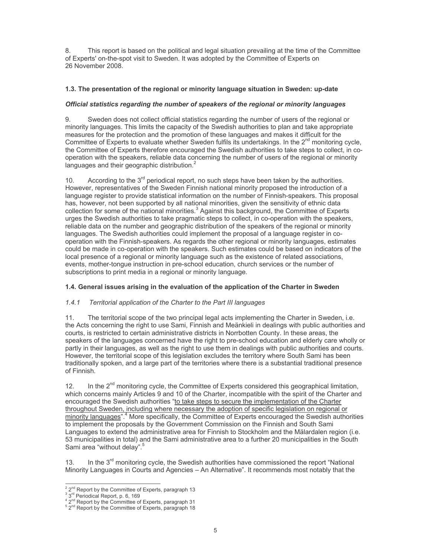This report is based on the political and legal situation prevailing at the time of the Committee 8. of Experts' on-the-spot visit to Sweden. It was adopted by the Committee of Experts on 26 November 2008.

## 1.3. The presentation of the regional or minority language situation in Sweden: up-date

## Official statistics regarding the number of speakers of the regional or minority languages

9. Sweden does not collect official statistics regarding the number of users of the regional or minority languages. This limits the capacity of the Swedish authorities to plan and take appropriate measures for the protection and the promotion of these languages and makes it difficult for the Committee of Experts to evaluate whether Sweden fulfils its undertakings. In the 2<sup>nd</sup> monitoring cycle, the Committee of Experts therefore encouraged the Swedish authorities to take steps to collect, in cooperation with the speakers, reliable data concerning the number of users of the regional or minority languages and their geographic distribution.<sup>2</sup>

According to the  $3<sup>rd</sup>$  periodical report, no such steps have been taken by the authorities.  $10<sub>1</sub>$ However, representatives of the Sweden Finnish national minority proposed the introduction of a language register to provide statistical information on the number of Finnish-speakers. This proposal has, however, not been supported by all national minorities, given the sensitivity of ethnic data collection for some of the national minorities.<sup>3</sup> Against this background, the Committee of Experts urges the Swedish authorities to take pragmatic steps to collect, in co-operation with the speakers, reliable data on the number and geographic distribution of the speakers of the regional or minority languages. The Swedish authorities could implement the proposal of a language register in cooperation with the Finnish-speakers. As regards the other regional or minority languages, estimates could be made in co-operation with the speakers. Such estimates could be based on indicators of the local presence of a regional or minority language such as the existence of related associations, events, mother-tonque instruction in pre-school education, church services or the number of subscriptions to print media in a regional or minority language.

## 1.4. General issues arising in the evaluation of the application of the Charter in Sweden

#### $1.4.1$ Territorial application of the Charter to the Part III languages

 $11.$ The territorial scope of the two principal legal acts implementing the Charter in Sweden, i.e. the Acts concerning the right to use Sami, Finnish and Meänkieli in dealings with public authorities and courts, is restricted to certain administrative districts in Norrbotten County. In these areas, the speakers of the languages concerned have the right to pre-school education and elderly care wholly or partly in their languages, as well as the right to use them in dealings with public authorities and courts. However, the territorial scope of this legislation excludes the territory where South Sami has been traditionally spoken, and a large part of the territories where there is a substantial traditional presence of Finnish.

In the  $2^{nd}$  monitoring cycle, the Committee of Experts considered this geographical limitation,  $12.$ which concerns mainly Articles 9 and 10 of the Charter, incompatible with the spirit of the Charter and encouraged the Swedish authorities "to take steps to secure the implementation of the Charter throughout Sweden, including where necessary the adoption of specific legislation on regional or minority languages".<sup>4</sup> More specifically, the Committee of Experts encouraged the Swedish authorities to implement the proposals by the Government Commission on the Finnish and South Sami Languages to extend the administrative area for Finnish to Stockholm and the Mälardalen region (i.e. 53 municipalities in total) and the Sami administrative area to a further 20 municipalities in the South Sami area "without delay".<sup>5</sup>

In the 3<sup>rd</sup> monitoring cycle, the Swedish authorities have commissioned the report "National  $13.$ Minority Languages in Courts and Agencies - An Alternative". It recommends most notably that the

<sup>&</sup>lt;sup>2</sup> 2<sup>nd</sup> Report by the Committee of Experts, paragraph 13

 $\frac{3}{3}$  and Periodical Report, p. 6, 169<br> $\frac{4}{2}$   $2^{\text{nd}}$  Report by the Committee of Experts, paragraph 31

<sup>&</sup>lt;sup>5</sup> 2<sup>nd</sup> Report by the Committee of Experts, paragraph 18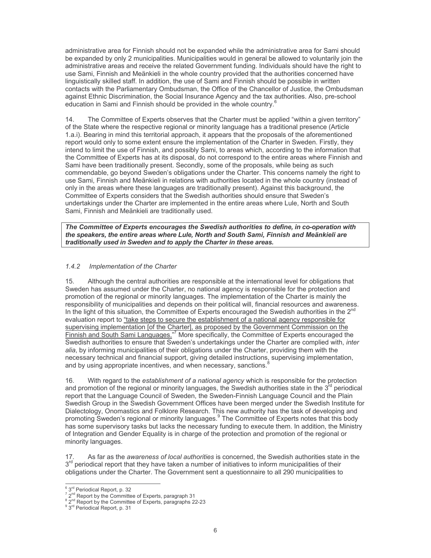administrative area for Finnish should not be expanded while the administrative area for Sami should be expanded by only 2 municipalities. Municipalities would in general be allowed to voluntarily join the administrative areas and receive the related Government funding. Individuals should have the right to use Sami, Finnish and Meänkieli in the whole country provided that the authorities concerned have linguistically skilled staff. In addition, the use of Sami and Finnish should be possible in written contacts with the Parliamentary Ombudsman, the Office of the Chancellor of Justice, the Ombudsman against Ethnic Discrimination, the Social Insurance Agency and the tax authorities. Also, pre-school education in Sami and Finnish should be provided in the whole country.<sup>6</sup>

 $14$ The Committee of Experts observes that the Charter must be applied "within a given territory" of the State where the respective regional or minority language has a traditional presence (Article 1.a.i). Bearing in mind this territorial approach, it appears that the proposals of the aforementioned report would only to some extent ensure the implementation of the Charter in Sweden. Firstly, they intend to limit the use of Finnish, and possibly Sami, to areas which, according to the information that the Committee of Experts has at its disposal, do not correspond to the entire areas where Finnish and Sami have been traditionally present. Secondly, some of the proposals, while being as such commendable, go beyond Sweden's obligations under the Charter. This concerns namely the right to use Sami. Finnish and Meänkieli in relations with authorities located in the whole country (instead of only in the areas where these languages are traditionally present). Against this background, the Committee of Experts considers that the Swedish authorities should ensure that Sweden's undertakings under the Charter are implemented in the entire areas where Lule, North and South Sami, Finnish and Meänkieli are traditionally used.

The Committee of Experts encourages the Swedish authorities to define, in co-operation with the speakers, the entire areas where Lule, North and South Sami, Finnish and Meänkieli are traditionally used in Sweden and to apply the Charter in these areas.

#### $1.4.2$ Implementation of the Charter

Although the central authorities are responsible at the international level for obligations that  $15$ Sweden has assumed under the Charter, no national agency is responsible for the protection and promotion of the regional or minority languages. The implementation of the Charter is mainly the responsibility of municipalities and depends on their political will, financial resources and awareness. In the light of this situation, the Committee of Experts encouraged the Swedish authorities in the 2<sup>nd</sup> evaluation report to "take steps to secure the establishment of a national agency responsible for supervising implementation [of the Charter], as proposed by the Government Commission on the <u>Finnish and South Sami Languages.</u>"<sup>7</sup> More specifically, the Committee of Experts encouraged the Swedish authorities to ensure that Sweden's undertakings under the Charter are complied with, inter alia, by informing municipalities of their obligations under the Charter, providing them with the necessary technical and financial support, giving detailed instructions, supervising implementation, and by using appropriate incentives, and when necessary, sanctions.

With regard to the establishment of a national agency which is responsible for the protection  $16.$ and promotion of the regional or minority languages, the Swedish authorities state in the 3<sup>rd</sup> periodical report that the Language Council of Sweden, the Sweden-Finnish Language Council and the Plain Swedish Group in the Swedish Government Offices have been merged under the Swedish Institute for Dialectology, Onomastics and Folklore Research. This new authority has the task of developing and promoting Sweden's regional or minority languages.<sup>9</sup> The Committee of Experts notes that this body has some supervisory tasks but lacks the necessary funding to execute them. In addition, the Ministry of Integration and Gender Equality is in charge of the protection and promotion of the regional or minority languages.

As far as the awareness of local authorities is concerned, the Swedish authorities state in the  $3<sup>rd</sup>$  periodical report that they have taken a number of initiatives to inform municipalities of their obligations under the Charter. The Government sent a questionnaire to all 290 municipalities to

<sup>&</sup>lt;sup>6</sup> 3<sup>rd</sup> Periodical Report, p. 32

 $\frac{7}{2}$  and Report by the Committee of Experts, paragraph 31<br> $\frac{8}{2}$  and Report by the Committee of Experts, paragraphs 22-23

<sup>&</sup>lt;sup>9</sup> 3<sup>rd</sup> Periodical Report, p. 31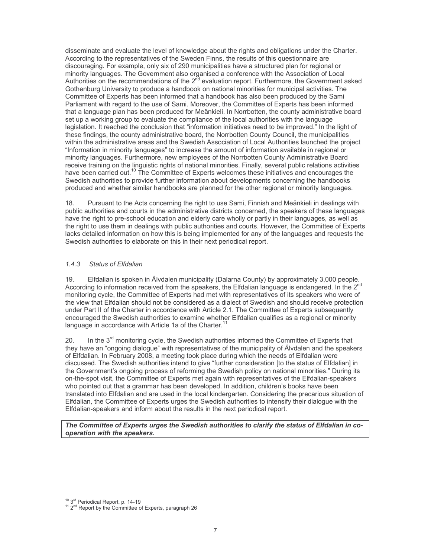disseminate and evaluate the level of knowledge about the rights and obligations under the Charter. According to the representatives of the Sweden Finns, the results of this questionnaire are discouraging. For example, only six of 290 municipalities have a structured plan for regional or minority languages. The Government also organised a conference with the Association of Local Authorities on the recommendations of the 2<sup>nd</sup> evaluation report. Furthermore, the Government asked Gothenburg University to produce a handbook on national minorities for municipal activities. The Committee of Experts has been informed that a handbook has also been produced by the Sami Parliament with regard to the use of Sami. Moreover, the Committee of Experts has been informed that a language plan has been produced for Meänkieli. In Norrbotten, the county administrative board set up a working group to evaluate the compliance of the local authorities with the language legislation. It reached the conclusion that "information initiatives need to be improved." In the light of these findings, the county administrative board, the Norrbotten County Council, the municipalities within the administrative areas and the Swedish Association of Local Authorities launched the project "Information in minority languages" to increase the amount of information available in regional or minority languages. Furthermore, new employees of the Norrbotten County Administrative Board receive training on the linguistic rights of national minorities. Finally, several public relations activities have been carried out.<sup>10</sup> The Committee of Experts welcomes these initiatives and encourages the Swedish authorities to provide further information about developments concerning the handbooks produced and whether similar handbooks are planned for the other regional or minority languages.

Pursuant to the Acts concerning the right to use Sami, Finnish and Meänkieli in dealings with  $18.$ public authorities and courts in the administrative districts concerned, the speakers of these languages have the right to pre-school education and elderly care wholly or partly in their languages, as well as the right to use them in dealings with public authorities and courts. However, the Committee of Experts lacks detailed information on how this is being implemented for any of the languages and requests the Swedish authorities to elaborate on this in their next periodical report.

#### $1.4.3$ **Status of Elfdalian**

Elfdalian is spoken in Älvdalen municipality (Dalarna County) by approximately 3,000 people. 19. According to information received from the speakers, the Elfdalian language is endangered. In the 2<sup>nd</sup> monitoring cycle, the Committee of Experts had met with representatives of its speakers who were of the view that Elfdalian should not be considered as a dialect of Swedish and should receive protection under Part II of the Charter in accordance with Article 2.1. The Committee of Experts subsequently encouraged the Swedish authorities to examine whether Elfdalian qualifies as a regional or minority language in accordance with Article 1a of the Charter.<sup>11</sup>

In the 3<sup>rd</sup> monitoring cycle, the Swedish authorities informed the Committee of Experts that 20. they have an "ongoing dialogue" with representatives of the municipality of Alvdalen and the speakers of Elfdalian. In February 2008, a meeting took place during which the needs of Elfdalian were discussed. The Swedish authorities intend to give "further consideration [to the status of Elfdalian] in the Government's ongoing process of reforming the Swedish policy on national minorities." During its on-the-spot visit, the Committee of Experts met again with representatives of the Elfdalian-speakers who pointed out that a grammar has been developed. In addition, children's books have been translated into Elfdalian and are used in the local kindergarten. Considering the precarious situation of Elfdalian, the Committee of Experts urges the Swedish authorities to intensify their dialogue with the Elfdalian-speakers and inform about the results in the next periodical report.

The Committee of Experts urges the Swedish authorities to clarify the status of Elfdalian in cooperation with the speakers.

 $10~3$ <sup>rd</sup> Periodical Report, p. 14-19

<sup>&</sup>lt;sup>11</sup> 2<sup>nd</sup> Report by the Committee of Experts, paragraph 26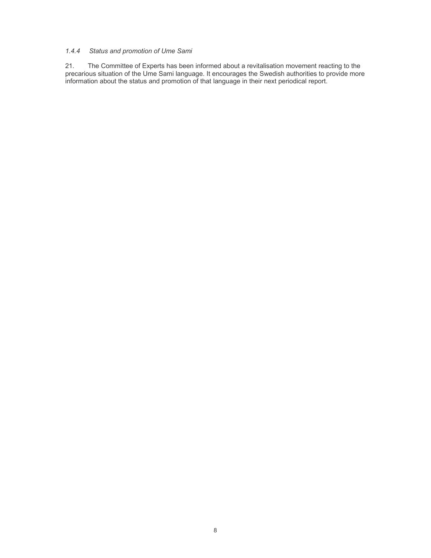## 1.4.4 Status and promotion of Ume Sami

The Committee of Experts has been informed about a revitalisation movement reacting to the  $21.$ precarious situation of the Ume Sami language. It encourages the Swedish authorities to provide more information about the status and promotion of that language in their next periodical report.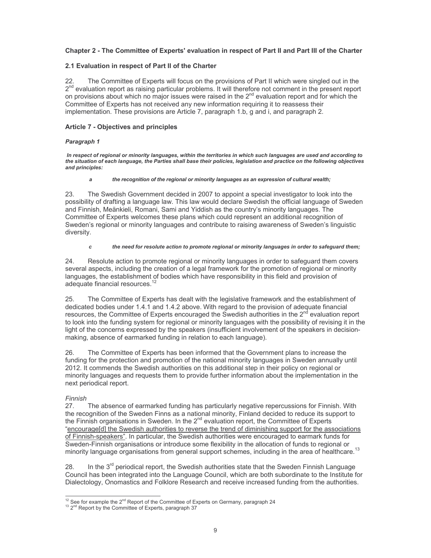## Chapter 2 - The Committee of Experts' evaluation in respect of Part II and Part III of the Charter

## 2.1 Evaluation in respect of Part II of the Charter

22. The Committee of Experts will focus on the provisions of Part II which were singled out in the 2<sup>nd</sup> evaluation report as raising particular problems. It will therefore not comment in the present report on provisions about which no major issues were raised in the 2<sup>nd</sup> evaluation report and for which the Committee of Experts has not received any new information requiring it to reassess their implementation. These provisions are Article 7, paragraph 1.b, g and i, and paragraph 2.

### Article 7 - Objectives and principles

#### Paragraph 1

In respect of regional or minority languages, within the territories in which such languages are used and according to the situation of each language, the Parties shall base their policies, legislation and practice on the following objectives and principles:

#### the recognition of the regional or minority languages as an expression of cultural wealth;  $\overline{a}$

The Swedish Government decided in 2007 to appoint a special investigator to look into the 23. possibility of drafting a language law. This law would declare Swedish the official language of Sweden and Finnish, Meänkieli, Romani, Sami and Yiddish as the country's minority languages. The Committee of Experts welcomes these plans which could represent an additional recognition of Sweden's regional or minority languages and contribute to raising awareness of Sweden's linguistic diversity.

#### the need for resolute action to promote regional or minority languages in order to safequard them;  $\mathbf{c}$

24. Resolute action to promote regional or minority languages in order to safeguard them covers several aspects, including the creation of a legal framework for the promotion of regional or minority languages, the establishment of bodies which have responsibility in this field and provision of adequate financial resources.<sup>1</sup>

25. The Committee of Experts has dealt with the legislative framework and the establishment of dedicated bodies under 1.4.1 and 1.4.2 above. With regard to the provision of adequate financial resources, the Committee of Experts encouraged the Swedish authorities in the 2<sup>nd</sup> evaluation report to look into the funding system for regional or minority languages with the possibility of revising it in the light of the concerns expressed by the speakers (insufficient involvement of the speakers in decisionmaking, absence of earmarked funding in relation to each language).

26. The Committee of Experts has been informed that the Government plans to increase the funding for the protection and promotion of the national minority languages in Sweden annually until 2012. It commends the Swedish authorities on this additional step in their policy on regional or minority languages and requests them to provide further information about the implementation in the next periodical report.

### Finnish

27. The absence of earmarked funding has particularly negative repercussions for Finnish. With the recognition of the Sweden Finns as a national minority, Finland decided to reduce its support to the Finnish organisations in Sweden. In the 2<sup>nd</sup> evaluation report, the Committee of Experts "encourage[d] the Swedish authorities to reverse the trend of diminishing support for the associations of Finnish-speakers". In particular, the Swedish authorities were encouraged to earmark funds for Sweden-Finnish organisations or introduce some flexibility in the allocation of funds to regional or minority language organisations from general support schemes, including in the area of healthcare.<sup>13</sup>

In the 3<sup>rd</sup> periodical report, the Swedish authorities state that the Sweden Finnish Language 28. Council has been integrated into the Language Council, which are both subordinate to the Institute for Dialectology, Onomastics and Folklore Research and receive increased funding from the authorities.

 $12$  See for example the  $2^{nd}$  Report of the Committee of Experts on Germany, paragraph 24

<sup>&</sup>lt;sup>13</sup> 2<sup>nd</sup> Report by the Committee of Experts, paragraph 37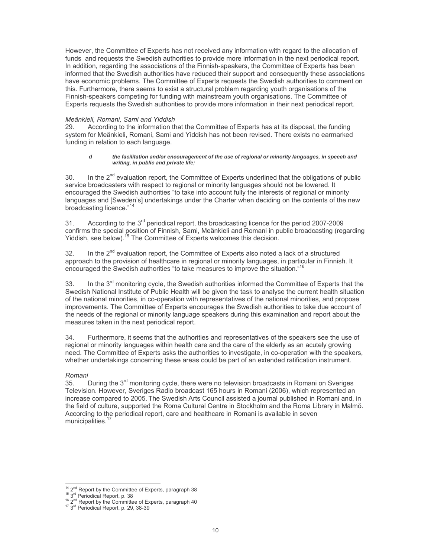However, the Committee of Experts has not received any information with regard to the allocation of funds and requests the Swedish authorities to provide more information in the next periodical report. In addition, regarding the associations of the Finnish-speakers, the Committee of Experts has been informed that the Swedish authorities have reduced their support and consequently these associations have economic problems. The Committee of Experts requests the Swedish authorities to comment on this. Furthermore, there seems to exist a structural problem regarding youth organisations of the Finnish-speakers competing for funding with mainstream youth organisations. The Committee of Experts requests the Swedish authorities to provide more information in their next periodical report.

#### Meänkieli, Romani, Sami and Yiddish

29. According to the information that the Committee of Experts has at its disposal, the funding system for Meänkieli, Romani, Sami and Yiddish has not been revised. There exists no earmarked funding in relation to each language.

#### d the facilitation and/or encouragement of the use of regional or minority languages, in speech and writing, in public and private life;

In the 2<sup>nd</sup> evaluation report, the Committee of Experts underlined that the obligations of public  $30^{\circ}$ service broadcasters with respect to regional or minority languages should not be lowered. It encouraged the Swedish authorities "to take into account fully the interests of regional or minority languages and [Sweden's] undertakings under the Charter when deciding on the contents of the new broadcasting licence."<sup>14</sup>

According to the 3<sup>rd</sup> periodical report, the broadcasting licence for the period 2007-2009  $31<sup>2</sup>$ confirms the special position of Finnish, Sami, Meänkieli and Romani in public broadcasting (regarding Viddish, see below).<sup>15</sup> The Committee of Experts welcomes this decision.

32. In the  $2^{nd}$  evaluation report, the Committee of Experts also noted a lack of a structured approach to the provision of healthcare in regional or minority languages, in particular in Finnish. It encouraged the Swedish authorities "to take measures to improve the situation."<sup>1</sup>

In the 3<sup>rd</sup> monitoring cycle, the Swedish authorities informed the Committee of Experts that the 33. Swedish National Institute of Public Health will be given the task to analyse the current health situation of the national minorities, in co-operation with representatives of the national minorities, and propose improvements. The Committee of Experts encourages the Swedish authorities to take due account of the needs of the regional or minority language speakers during this examination and report about the measures taken in the next periodical report.

Furthermore, it seems that the authorities and representatives of the speakers see the use of 34. regional or minority languages within health care and the care of the elderly as an acutely growing need. The Committee of Experts asks the authorities to investigate, in co-operation with the speakers, whether undertakings concerning these areas could be part of an extended ratification instrument.

### Romani

During the 3<sup>rd</sup> monitoring cycle, there were no television broadcasts in Romani on Sveriges 35. Television. However, Sveriges Radio broadcast 165 hours in Romani (2006), which represented an increase compared to 2005. The Swedish Arts Council assisted a journal published in Romani and, in the field of culture, supported the Roma Cultural Centre in Stockholm and the Roma Library in Malmö. According to the periodical report, care and healthcare in Romani is available in seven municipalities.

<sup>&</sup>lt;sup>14</sup> 2<sup>nd</sup> Report by the Committee of Experts, paragraph 38

<sup>&</sup>lt;sup>15</sup> 3<sup>rd</sup> Periodical Report, p. 38<br><sup>16</sup> 3<sup>rd</sup> Report by the Committee of Experts, paragraph 40<br><sup>17</sup> 3<sup>rd</sup> Periodical Report, p. 29, 38-39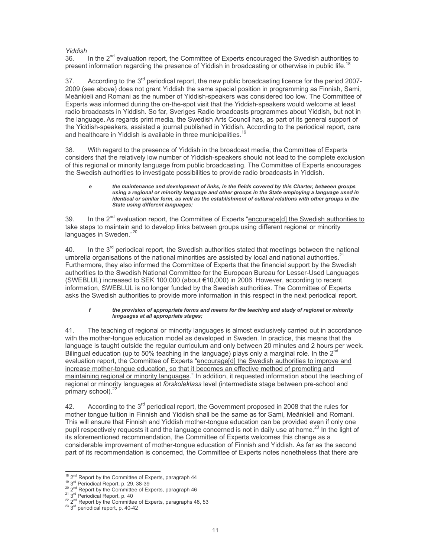### Yiddish

In the 2<sup>nd</sup> evaluation report, the Committee of Experts encouraged the Swedish authorities to 36. present information regarding the presence of Yiddish in broadcasting or otherwise in public life.<sup>1</sup>

According to the  $3^{rd}$  periodical report, the new public broadcasting licence for the period 2007-37. 2009 (see above) does not grant Yiddish the same special position in programming as Finnish, Sami, Meänkieli and Romani as the number of Yiddish-speakers was considered too low. The Committee of Experts was informed during the on-the-spot visit that the Yiddish-speakers would welcome at least radio broadcasts in Yiddish. So far, Sveriges Radio broadcasts programmes about Yiddish, but not in the language. As regards print media, the Swedish Arts Council has, as part of its general support of the Yiddish-speakers, assisted a journal published in Yiddish. According to the periodical report, care and healthcare in Yiddish is available in three municipalities.

38. With regard to the presence of Yiddish in the broadcast media, the Committee of Experts considers that the relatively low number of Yiddish-speakers should not lead to the complete exclusion of this regional or minority language from public broadcasting. The Committee of Experts encourages the Swedish authorities to investigate possibilities to provide radio broadcasts in Yiddish.

#### the maintenance and development of links, in the fields covered by this Charter, between groups e using a regional or minority language and other groups in the State employing a language used in identical or similar form, as well as the establishment of cultural relations with other groups in the State using different languages;

In the 2<sup>nd</sup> evaluation report, the Committee of Experts "encourage[d] the Swedish authorities to 39 take steps to maintain and to develop links between groups using different regional or minority languages in Sweden.'

In the 3<sup>rd</sup> periodical report, the Swedish authorities stated that meetings between the national  $40<sub>1</sub>$ umbrella organisations of the national minorities are assisted by local and national authorities.<sup>2</sup> Furthermore, they also informed the Committee of Experts that the financial support by the Swedish authorities to the Swedish National Committee for the European Bureau for Lesser-Used Languages (SWEBLUL) increased to SEK 100,000 (about €10,000) in 2006. However, according to recent information, SWEBLUL is no longer funded by the Swedish authorities. The Committee of Experts asks the Swedish authorities to provide more information in this respect in the next periodical report.

#### $\mathbf f$ the provision of appropriate forms and means for the teaching and study of regional or minority languages at all appropriate stages;

The teaching of regional or minority languages is almost exclusively carried out in accordance 41. with the mother-tonque education model as developed in Sweden. In practice, this means that the language is taught outside the regular curriculum and only between 20 minutes and 2 hours per week. Bilingual education (up to 50% teaching in the language) plays only a marginal role. In the 2<sup>nc</sup> evaluation report, the Committee of Experts "encourage[d] the Swedish authorities to improve and increase mother-tongue education, so that it becomes an effective method of promoting and maintaining regional or minority languages." In addition, it requested information about the teaching of regional or minority languages at förskoleklass level (intermediate stage between pre-school and primary school).<sup>22</sup>

According to the 3<sup>rd</sup> periodical report, the Government proposed in 2008 that the rules for 42. mother tongue tuition in Finnish and Yiddish shall be the same as for Sami, Meänkieli and Romani. This will ensure that Finnish and Yiddish mother-tongue education can be provided even if only one pupil respectively requests it and the language concerned is not in daily use at home.<sup>23</sup> In the light of its aforementioned recommendation, the Committee of Experts welcomes this change as a considerable improvement of mother-tonque education of Finnish and Yiddish. As far as the second part of its recommendation is concerned, the Committee of Experts notes nonetheless that there are

<sup>&</sup>lt;sup>18</sup> 2<sup>nd</sup> Report by the Committee of Experts, paragraph 44

<sup>&</sup>lt;sup>19</sup> 3<sup>rd</sup> Periodical Report, p. 29, 38-39<br><sup>20</sup> 2<sup>nd</sup> Report by the Committee of Experts, paragraph 46

<sup>&</sup>lt;sup>21</sup> 3<sup>rd</sup> Periodical Report, p. 40

<sup>22</sup>  $2^{nd}$  Report by the Committee of Experts, paragraphs 48, 53<br><sup>23</sup>  $3^{rd}$  periodical report, p. 40-42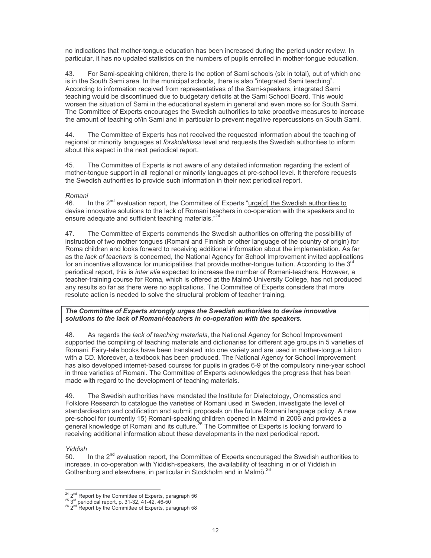no indications that mother-tongue education has been increased during the period under review. In particular, it has no updated statistics on the numbers of pupils enrolled in mother-tongue education.

For Sami-speaking children, there is the option of Sami schools (six in total), out of which one 43. is in the South Sami area. In the municipal schools, there is also "integrated Sami teaching". According to information received from representatives of the Sami-speakers, integrated Sami teaching would be discontinued due to budgetary deficits at the Sami School Board. This would worsen the situation of Sami in the educational system in general and even more so for South Sami. The Committee of Experts encourages the Swedish authorities to take proactive measures to increase the amount of teaching of/in Sami and in particular to prevent negative repercussions on South Sami.

 $44$ The Committee of Experts has not received the requested information about the teaching of regional or minority languages at *förskoleklass* level and requests the Swedish authorities to inform about this aspect in the next periodical report.

The Committee of Experts is not aware of any detailed information regarding the extent of 45 mother-tonque support in all regional or minority languages at pre-school level. It therefore requests the Swedish authorities to provide such information in their next periodical report.

## Romani

 $46.$ In the  $2^{nd}$  evaluation report, the Committee of Experts "urge[d] the Swedish authorities to devise innovative solutions to the lack of Romani teachers in co-operation with the speakers and to ensure adequate and sufficient teaching materials.

47. The Committee of Experts commends the Swedish authorities on offering the possibility of instruction of two mother tongues (Romani and Finnish or other language of the country of origin) for Roma children and looks forward to receiving additional information about the implementation. As far as the lack of teachers is concerned, the National Agency for School Improvement invited applications for an incentive allowance for municipalities that provide mother-tonque tuition. According to the 3<sup>rd</sup> periodical report, this is *inter alia* expected to increase the number of Romani-teachers. However, a teacher-training course for Roma, which is offered at the Malmö University College, has not produced any results so far as there were no applications. The Committee of Experts considers that more resolute action is needed to solve the structural problem of teacher training.

## The Committee of Experts strongly urges the Swedish authorities to devise innovative solutions to the lack of Romani-teachers in co-operation with the speakers.

48. As regards the *lack of teaching materials*, the National Agency for School Improvement supported the compiling of teaching materials and dictionaries for different age groups in 5 varieties of Romani. Fairy-tale books have been translated into one variety and are used in mother-tongue tuition with a CD. Moreover, a textbook has been produced. The National Agency for School Improvement has also developed internet-based courses for pupils in grades 6-9 of the compulsory nine-year school in three varieties of Romani. The Committee of Experts acknowledges the progress that has been made with regard to the development of teaching materials.

49. The Swedish authorities have mandated the Institute for Dialectology, Onomastics and Folklore Research to catalogue the varieties of Romani used in Sweden, investigate the level of standardisation and codification and submit proposals on the future Romani language policy. A new pre-school for (currently 15) Romani-speaking children opened in Malmö in 2006 and provides a general knowledge of Romani and its culture.<sup>25</sup> The Committee of Experts is looking forward to receiving additional information about these developments in the next periodical report.

## Yiddish

 $50<sub>1</sub>$ In the 2<sup>nd</sup> evaluation report, the Committee of Experts encouraged the Swedish authorities to increase, in co-operation with Yiddish-speakers, the availability of teaching in or of Yiddish in Gothenburg and elsewhere, in particular in Stockholm and in Malmö.<sup>26</sup>

<sup>&</sup>lt;sup>24</sup> 2<sup>nd</sup> Report by the Committee of Experts, paragraph 56

 $25\frac{2}{3}$  derived by the communities of Experts, paragraph 58<br> $26\frac{2}{3}$  derived by the Committee of Experts, paragraph 58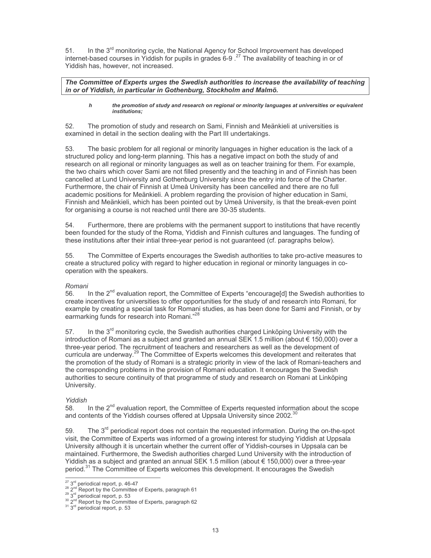51. In the  $3^{rd}$  monitoring cycle, the National Agency for School Improvement has developed internet-based courses in Yiddish for pupils in grades 6-9.<sup>27</sup> The availability of teaching in or of Yiddish has, however, not increased.

The Committee of Experts urges the Swedish authorities to increase the availability of teaching in or of Yiddish, in particular in Gothenburg, Stockholm and Malmö.

#### $\mathbf h$ the promotion of study and research on regional or minority languages at universities or equivalent institutions;

 $52.$ The promotion of study and research on Sami, Finnish and Meänkieli at universities is examined in detail in the section dealing with the Part III undertakings.

The basic problem for all regional or minority languages in higher education is the lack of a 53. structured policy and long-term planning. This has a negative impact on both the study of and research on all regional or minority languages as well as on teacher training for them. For example, the two chairs which cover Sami are not filled presently and the teaching in and of Finnish has been cancelled at Lund University and Gothenburg University since the entry into force of the Charter. Furthermore, the chair of Finnish at Umeå University has been cancelled and there are no full academic positions for Meänkieli. A problem regarding the provision of higher education in Sami, Finnish and Meänkieli, which has been pointed out by Umeå University, is that the break-even point for organising a course is not reached until there are 30-35 students.

54. Furthermore, there are problems with the permanent support to institutions that have recently been founded for the study of the Roma, Yiddish and Finnish cultures and languages. The funding of these institutions after their intial three-year period is not guaranteed (cf. paragraphs below).

The Committee of Experts encourages the Swedish authorities to take pro-active measures to 55. create a structured policy with regard to higher education in regional or minority languages in cooperation with the speakers.

## Romani

In the  $2^{nd}$  evaluation report, the Committee of Experts "encourage[d] the Swedish authorities to 56. create incentives for universities to offer opportunities for the study of and research into Romani, for example by creating a special task for Romani studies, as has been done for Sami and Finnish, or by earmarking funds for research into Romani."28

In the 3<sup>rd</sup> monitoring cycle, the Swedish authorities charged Linköping University with the 57 introduction of Romani as a subject and granted an annual SEK 1.5 million (about € 150,000) over a three-year period. The recruitment of teachers and researchers as well as the development of curricula are underway.<sup>29</sup> The Committee of Experts welcomes this development and reiterates that the promotion of the study of Romani is a strategic priority in view of the lack of Romani-teachers and the corresponding problems in the provision of Romani education. It encourages the Swedish authorities to secure continuity of that programme of study and research on Romani at Linköping University.

## Yiddish

In the  $2<sup>nd</sup>$  evaluation report, the Committee of Experts requested information about the scope 58. and contents of the Yiddish courses offered at Uppsala University since 2002.<sup>30</sup>

The  $3<sup>rd</sup>$  periodical report does not contain the requested information. During the on-the-spot 59. visit, the Committee of Experts was informed of a growing interest for studying Yiddish at Uppsala University although it is uncertain whether the current offer of Yiddish-courses in Uppsala can be maintained. Furthermore, the Swedish authorities charged Lund University with the introduction of Yiddish as a subject and granted an annual SEK 1.5 million (about  $\epsilon$  150,000) over a three-year period.<sup>31</sup> The Committee of Experts welcomes this development. It encourages the Swedish

 $\frac{27}{28}$  3<sup>rd</sup> periodical report, p. 46-47<br><sup>28</sup> 2<sup>nd</sup> Report by the Committee of Experts, paragraph 61

 $29\frac{29}{3}$  and periodical report, p. 53<br> $2^{nd}$  Report by the Committ

 $^{30}$  2<sup>nd</sup> Report by the Committee of Experts, paragraph 62<br> $^{31}$  3<sup>rd</sup> periodical report, p. 53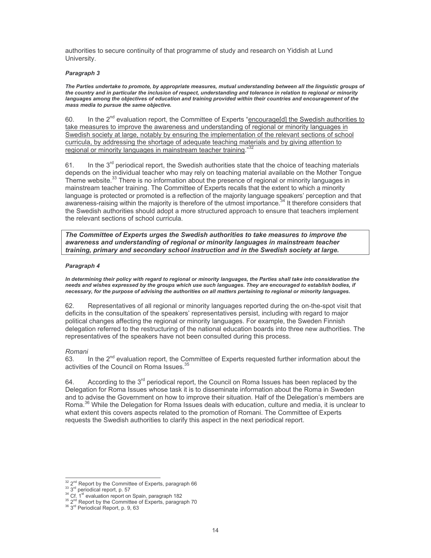authorities to secure continuity of that programme of study and research on Yiddish at Lund University.

#### Paragraph 3

The Parties undertake to promote, by appropriate measures, mutual understanding between all the linguistic groups of the country and in particular the inclusion of respect, understanding and tolerance in relation to regional or minority languages among the objectives of education and training provided within their countries and encouragement of the mass media to pursue the same objective.

In the 2<sup>nd</sup> evaluation report, the Committee of Experts "encourage[d] the Swedish authorities to 60 take measures to improve the awareness and understanding of regional or minority languages in Swedish society at large, notably by ensuring the implementation of the relevant sections of school curricula, by addressing the shortage of adequate teaching materials and by giving attention to regional or minority languages in mainstream teacher training."

In the 3<sup>rd</sup> periodical report, the Swedish authorities state that the choice of teaching materials 61. depends on the individual teacher who may rely on teaching material available on the Mother Tonque Theme website.<sup>33</sup> There is no information about the presence of regional or minority languages in mainstream teacher training. The Committee of Experts recalls that the extent to which a minority language is protected or promoted is a reflection of the majority language speakers' perception and that awareness-raising within the majority is therefore of the utmost importance.<sup>34</sup> It therefore considers that the Swedish authorities should adopt a more structured approach to ensure that teachers implement the relevant sections of school curricula.

The Committee of Experts urges the Swedish authorities to take measures to improve the awareness and understanding of regional or minority languages in mainstream teacher training, primary and secondary school instruction and in the Swedish society at large.

#### Paragraph 4

In determining their policy with regard to regional or minority languages, the Parties shall take into consideration the needs and wishes expressed by the groups which use such languages. They are encouraged to establish bodies, if necessary, for the purpose of advising the authorities on all matters pertaining to regional or minority languages.

Representatives of all regional or minority languages reported during the on-the-spot visit that 62. deficits in the consultation of the speakers' representatives persist, including with regard to major political changes affecting the regional or minority languages. For example, the Sweden Finnish delegation referred to the restructuring of the national education boards into three new authorities. The representatives of the speakers have not been consulted during this process.

### Romani

In the 2<sup>nd</sup> evaluation report, the Committee of Experts requested further information about the 63 activities of the Council on Roma Issues.

According to the 3<sup>rd</sup> periodical report, the Council on Roma Issues has been replaced by the 64. Delegation for Roma Issues whose task it is to disseminate information about the Roma in Sweden and to advise the Government on how to improve their situation. Half of the Delegation's members are Roma.<sup>36</sup> While the Delegation for Roma Issues deals with education, culture and media, it is unclear to what extent this covers aspects related to the promotion of Romani. The Committee of Experts requests the Swedish authorities to clarify this aspect in the next periodical report.

<sup>32 2&</sup>lt;sup>nd</sup> Report by the Committee of Experts, paragraph 66

 $33\frac{2}{3}$ <sup>nd</sup> periodical report, p. 57

<sup>&</sup>lt;sup>34</sup> Cf. 1<sup>st</sup> evaluation report on Spain, paragraph 182<br><sup>35</sup> 2<sup>nd</sup> Report by the Committee of Experts, paragraph 70<br><sup>36</sup> 3<sup>rd</sup> Periodical Report, p. 9, 63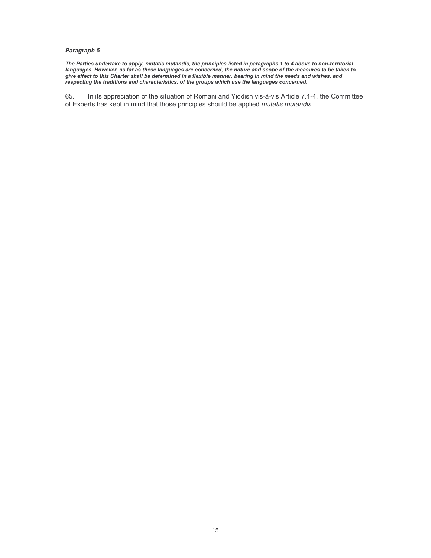#### Paragraph 5

The Parties undertake to apply, mutatis mutandis, the principles listed in paragraphs 1 to 4 above to non-territorial<br>languages. However, as far as these languages are concerned, the nature and scope of the measures to be give effect to this Charter shall be determined in a flexible manner, bearing in mind the needs and wishes, and respecting the traditions and characteristics, of the groups which use the languages concerned.

65. In its appreciation of the situation of Romani and Yiddish vis-à-vis Article 7.1-4, the Committee of Experts has kept in mind that those principles should be applied mutatis mutandis.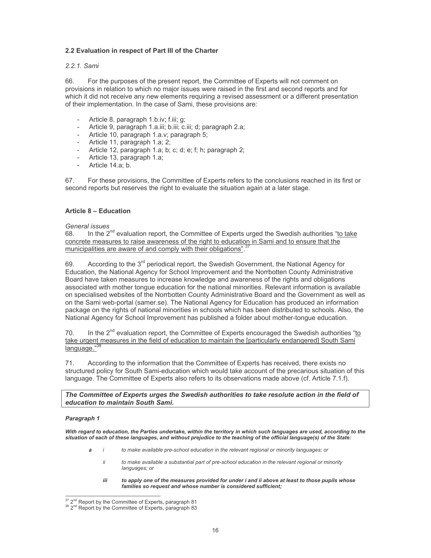## 2.2 Evaluation in respect of Part III of the Charter

## 2.2.1. Sami

For the purposes of the present report, the Committee of Experts will not comment on 66 provisions in relation to which no major issues were raised in the first and second reports and for which it did not receive any new elements requiring a revised assessment or a different presentation of their implementation. In the case of Sami, these provisions are:

- Article 8, paragraph 1.b.iv; f.iii; q;
- Article 9, paragraph 1.a.iii; b.iii; c.iii; d; paragraph 2.a;
- Article 10, paragraph 1.a.v; paragraph 5;
- Article 11, paragraph 1.a; 2;
- Article 12, paragraph 1.a; b; c; d; e; f; h; paragraph 2;
- $\sim$ Article 13, paragraph 1.a;
- Article 14.a; b.

67. For these provisions, the Committee of Experts refers to the conclusions reached in its first or second reports but reserves the right to evaluate the situation again at a later stage.

### Article 8 - Education

### General issues

In the 2<sup>nd</sup> evaluation report, the Committee of Experts urged the Swedish authorities "to take 68. concrete measures to raise awareness of the right to education in Sami and to ensure that the municipalities are aware of and comply with their obligations".

According to the 3<sup>rd</sup> periodical report, the Swedish Government, the National Agency for 69. Education, the National Agency for School Improvement and the Norrbotten County Administrative Board have taken measures to increase knowledge and awareness of the rights and obligations associated with mother tongue education for the national minorities. Relevant information is available on specialised websites of the Norrbotten County Administrative Board and the Government as well as on the Sami web-portal (samer.se). The National Agency for Education has produced an information package on the rights of national minorities in schools which has been distributed to schools. Also, the National Agency for School Improvement has published a folder about mother-tongue education.

70. In the 2<sup>nd</sup> evaluation report, the Committee of Experts encouraged the Swedish authorities "to take urgent measures in the field of education to maintain the [particularly endangered] South Sami language."

According to the information that the Committee of Experts has received, there exists no  $71.$ structured policy for South Sami-education which would take account of the precarious situation of this language. The Committee of Experts also refers to its observations made above (cf. Article 7.1.f).

The Committee of Experts urges the Swedish authorities to take resolute action in the field of education to maintain South Sami.

#### Paragraph 1

With regard to education, the Parties undertake, within the territory in which such languages are used, according to the situation of each of these languages, and without prejudice to the teaching of the official language(s) of the State:

- a to make available pre-school education in the relevant regional or minority languages; or  $\mathbf{i}$ 
	- ii to make available a substantial part of pre-school education in the relevant regional or minority languages; or
	- iii to apply one of the measures provided for under i and ii above at least to those pupils whose families so request and whose number is considered sufficient;

 $^{37}$  2<sup>nd</sup> Report by the Committee of Experts, paragraph 81<br> $^{38}$  2<sup>nd</sup> Report by the Committee of Experts, paragraph 83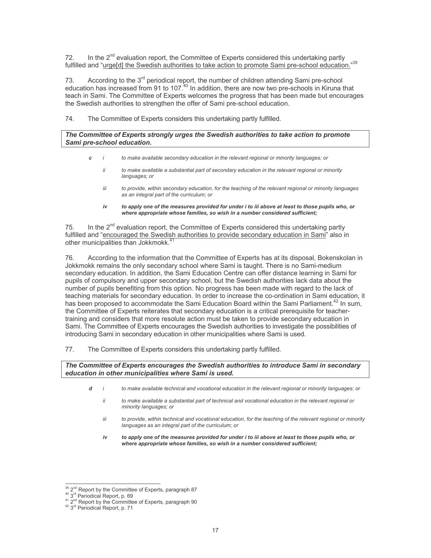In the 2<sup>nd</sup> evaluation report, the Committee of Experts considered this undertaking partly 72. fulfilled and "urge[d] the Swedish authorities to take action to promote Sami pre-school education."39

According to the 3<sup>rd</sup> periodical report, the number of children attending Sami pre-school 73. education has increased from 91 to 107.<sup>40</sup> In addition, there are now two pre-schools in Kiruna that teach in Sami. The Committee of Experts welcomes the progress that has been made but encourages the Swedish authorities to strengthen the offer of Sami pre-school education.

74. The Committee of Experts considers this undertaking partly fulfilled.

### The Committee of Experts strongly urges the Swedish authorities to take action to promote Sami pre-school education.

- $\epsilon$ to make available secondary education in the relevant regional or minority languages; or
	- ii to make available a substantial part of secondary education in the relevant regional or minority languages; or
	- iii to provide, within secondary education, for the teaching of the relevant regional or minority languages as an integral part of the curriculum; or
	- to apply one of the measures provided for under i to iii above at least to those pupils who, or iv where appropriate whose families, so wish in a number considered sufficient;

In the 2<sup>nd</sup> evaluation report, the Committee of Experts considered this undertaking partly 75. fulfilled and "encouraged the Swedish authorities to provide secondary education in Sami" also in other municipalities than Jokkmokk.

76 According to the information that the Committee of Experts has at its disposal, Bokenskolan in Jokkmokk remains the only secondary school where Sami is taught. There is no Sami-medium secondary education. In addition, the Sami Education Centre can offer distance learning in Sami for pupils of compulsory and upper secondary school, but the Swedish authorities lack data about the number of pupils benefiting from this option. No progress has been made with regard to the lack of teaching materials for secondary education. In order to increase the co-ordination in Sami education, it has been proposed to accommodate the Sami Education Board within the Sami Parliament.<sup>42</sup> In sum, the Committee of Experts reiterates that secondary education is a critical prerequisite for teachertraining and considers that more resolute action must be taken to provide secondary education in Sami. The Committee of Experts encourages the Swedish authorities to investigate the possibilities of introducing Sami in secondary education in other municipalities where Sami is used.

77. The Committee of Experts considers this undertaking partly fulfilled.

### The Committee of Experts encourages the Swedish authorities to introduce Sami in secondary education in other municipalities where Sami is used.

- d to make available technical and vocational education in the relevant regional or minority languages; or  $\overline{\phantom{a}}$ 
	- ii to make available a substantial part of technical and vocational education in the relevant regional or minority languages; or
	- to provide, within technical and vocational education, for the teaching of the relevant regional or minority iii languages as an integral part of the curriculum; or
	- to apply one of the measures provided for under i to iii above at least to those pupils who, or  $iv$ where appropriate whose families, so wish in a number considered sufficient;

<sup>39 2&</sup>lt;sup>nd</sup> Report by the Committee of Experts, paragraph 87

<sup>&</sup>lt;sup>40</sup> 3<sup>rd</sup> Periodical Report, p. 69<br>
<sup>41</sup> 2<sup>nd</sup> Report by the Committee of Experts, paragraph 90<br>
<sup>42</sup> 3<sup>rd</sup> Periodical Report, p. 71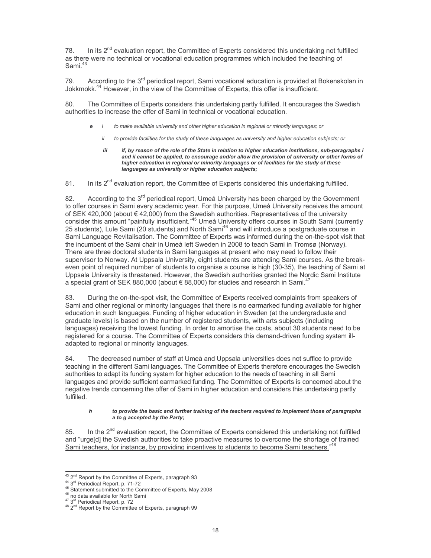In its  $2^{nd}$  evaluation report, the Committee of Experts considered this undertaking not fulfilled 78 as there were no technical or vocational education programmes which included the teaching of Sami<sup>43</sup>

According to the 3<sup>rd</sup> periodical report, Sami vocational education is provided at Bokenskolan in 79 Jokkmokk.<sup>44</sup> However, in the view of the Committee of Experts, this offer is insufficient.

The Committee of Experts considers this undertaking partly fulfilled. It encourages the Swedish authorities to increase the offer of Sami in technical or vocational education.

- to make available university and other higher education in regional or minority languages; or
	- to provide facilities for the study of these languages as university and higher education subjects; or ii
	- if, by reason of the role of the State in relation to higher education institutions, sub-paragraphs i iii and ii cannot be applied, to encourage and/or allow the provision of university or other forms of higher education in regional or minority languages or of facilities for the study of these languages as university or higher education subjects;

In its 2<sup>nd</sup> evaluation report, the Committee of Experts considered this undertaking fulfilled. 81.

According to the 3<sup>rd</sup> periodical report. Umeå University has been charged by the Government 82. to offer courses in Sami every academic year. For this purpose, Umeå University receives the amount of SEK 420,000 (about € 42,000) from the Swedish authorities. Representatives of the university consider this amount "painfully insufficient."<sup>45</sup> Umeå University offers courses in South Sami (currently 25 students), Lule Sami (20 students) and North Sami<sup>46</sup> and will introduce a postgraduate course in Sami Language Revitalisation. The Committee of Experts was informed during the on-the-spot visit that the incumbent of the Sami chair in Umeå left Sweden in 2008 to teach Sami in Tromsø (Norway). There are three doctoral students in Sami languages at present who may need to follow their supervisor to Norway. At Uppsala University, eight students are attending Sami courses. As the breakeven point of required number of students to organise a course is high (30-35), the teaching of Sami at Uppsala University is threatened. However, the Swedish authorities granted the Nordic Sami Institute a special grant of SEK 880,000 (about € 88,000) for studies and research in Sami.<sup>47</sup>

During the on-the-spot visit, the Committee of Experts received complaints from speakers of 83. Sami and other regional or minority languages that there is no earmarked funding available for higher education in such languages. Funding of higher education in Sweden (at the undergraduate and graduate levels) is based on the number of registered students, with arts subjects (including languages) receiving the lowest funding. In order to amortise the costs, about 30 students need to be registered for a course. The Committee of Experts considers this demand-driven funding system illadapted to regional or minority languages.

84 The decreased number of staff at Umeå and Uppsala universities does not suffice to provide teaching in the different Sami languages. The Committee of Experts therefore encourages the Swedish authorities to adapt its funding system for higher education to the needs of teaching in all Sami languages and provide sufficient earmarked funding. The Committee of Experts is concerned about the negative trends concerning the offer of Sami in higher education and considers this undertaking partly fulfilled.

#### to provide the basic and further training of the teachers required to implement those of paragraphs  $\pmb{h}$ a to g accepted by the Party:

In the 2<sup>nd</sup> evaluation report, the Committee of Experts considered this undertaking not fulfilled 85. and "urge[d] the Swedish authorities to take proactive measures to overcome the shortage of trained Sami teachers, for instance, by providing incentives to students to become Sami teachers.'

- <sup>46</sup> no data available for North Sami
- 

<sup>&</sup>lt;sup>43</sup> 2<sup>nd</sup> Report by the Committee of Experts, paragraph 93

<sup>&</sup>lt;sup>44</sup> 3<sup>rd</sup> Periodical Report, p. 71-72

<sup>&</sup>lt;sup>45</sup> Statement submitted to the Committee of Experts, May 2008

<sup>&</sup>lt;sup>47</sup> 3<sup>rd</sup> Periodical Report, p. 72<br><sup>47</sup> 3<sup>rd</sup> Report by the Committee of Experts, paragraph 99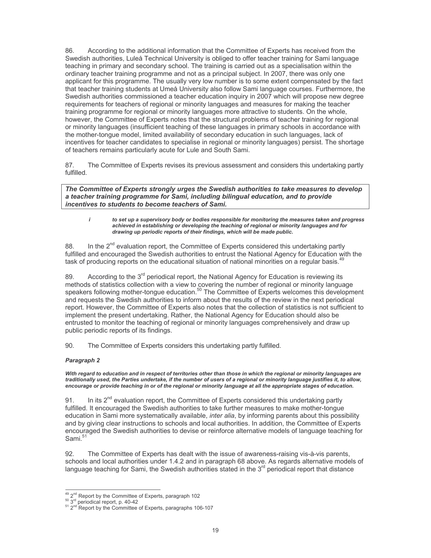According to the additional information that the Committee of Experts has received from the 86 Swedish authorities, Luleå Technical University is obliged to offer teacher training for Sami language teaching in primary and secondary school. The training is carried out as a specialisation within the ordinary teacher training programme and not as a principal subject. In 2007, there was only one applicant for this programme. The usually very low number is to some extent compensated by the fact that teacher training students at Umeå University also follow Sami language courses. Furthermore, the Swedish authorities commissioned a teacher education inquiry in 2007 which will propose new degree requirements for teachers of regional or minority languages and measures for making the teacher training programme for regional or minority languages more attractive to students. On the whole, however, the Committee of Experts notes that the structural problems of teacher training for regional or minority languages (insufficient teaching of these languages in primary schools in accordance with the mother-tongue model, limited availability of secondary education in such languages, lack of incentives for teacher candidates to specialise in regional or minority languages) persist. The shortage of teachers remains particularly acute for Lule and South Sami.

The Committee of Experts revises its previous assessment and considers this undertaking partly 87. fulfilled.

The Committee of Experts strongly urges the Swedish authorities to take measures to develop a teacher training programme for Sami, including bilingual education, and to provide incentives to students to become teachers of Sami.

 $\mathbf{i}$ to set up a supervisory body or bodies responsible for monitoring the measures taken and progress achieved in establishing or developing the teaching of regional or minority languages and for drawing up periodic reports of their findings, which will be made public.

In the  $2^{nd}$  evaluation report, the Committee of Experts considered this undertaking partly 88 fulfilled and encouraged the Swedish authorities to entrust the National Agency for Education with the task of producing reports on the educational situation of national minorities on a regular basis.<sup>4</sup>

According to the 3<sup>rd</sup> periodical report, the National Agency for Education is reviewing its 89. methods of statistics collection with a view to covering the number of regional or minority language speakers following mother-tonque education.<sup>50</sup> The Committee of Experts welcomes this development and requests the Swedish authorities to inform about the results of the review in the next periodical report. However, the Committee of Experts also notes that the collection of statistics is not sufficient to implement the present undertaking. Rather, the National Agency for Education should also be entrusted to monitor the teaching of regional or minority languages comprehensively and draw up public periodic reports of its findings.

90. The Committee of Experts considers this undertaking partly fulfilled.

### Paragraph 2

With regard to education and in respect of territories other than those in which the regional or minority languages are traditionally used, the Parties undertake, if the number of users of a regional or minority language justifies it, to allow, encourage or provide teaching in or of the regional or minority language at all the appropriate stages of education.

In its  $2<sup>nd</sup>$  evaluation report, the Committee of Experts considered this undertaking partly 91. fulfilled. It encouraged the Swedish authorities to take further measures to make mother-tongue education in Sami more systematically available, *inter alia*, by informing parents about this possibility and by giving clear instructions to schools and local authorities. In addition, the Committee of Experts encouraged the Swedish authorities to devise or reinforce alternative models of language teaching for Sami.<sup>51</sup>

92. The Committee of Experts has dealt with the issue of awareness-raising vis-à-vis parents, schools and local authorities under 1.4.2 and in paragraph 68 above. As regards alternative models of language teaching for Sami, the Swedish authorities stated in the 3<sup>rd</sup> periodical report that distance

 $49$  2<sup>nd</sup> Report by the Committee of Experts, paragraph 102

 $^{50}$  3<sup>rd</sup> periodical report, p. 40-42<br><sup>51</sup> 2<sup>rd</sup> Report by the Committee of Experts, paragraphs 106-107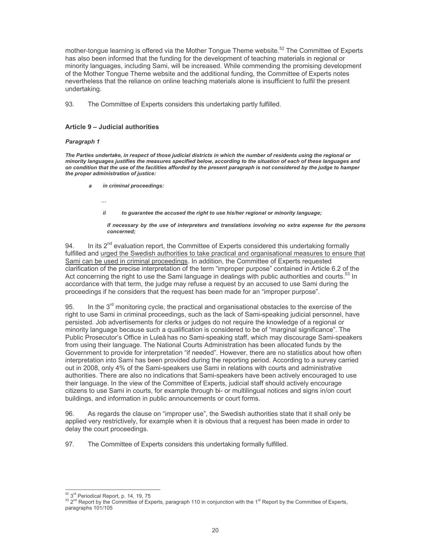mother-tongue learning is offered via the Mother Tongue Theme website.<sup>52</sup> The Committee of Experts has also been informed that the funding for the development of teaching materials in regional or minority languages, including Sami, will be increased. While commending the promising development of the Mother Tongue Theme website and the additional funding, the Committee of Experts notes nevertheless that the reliance on online teaching materials alone is insufficient to fulfil the present undertaking.

93. The Committee of Experts considers this undertaking partly fulfilled.

### Article 9 - Judicial authorities

#### Paragraph 1

The Parties undertake, in respect of those judicial districts in which the number of residents using the regional or minority languages justifies the measures specified below, according to the situation of each of these languages and on condition that the use of the facilities afforded by the present paragraph is not considered by the judge to hamper the proper administration of justice:

- in criminal proceedings:
	- $\ddotsc$
	- $ii$ to guarantee the accused the right to use his/her regional or minority language;

if necessary by the use of interpreters and translations involving no extra expense for the persons concerned:

In its  $2^{nd}$  evaluation report, the Committee of Experts considered this undertaking formally  $94$ fulfilled and urged the Swedish authorities to take practical and organisational measures to ensure that Sami can be used in criminal proceedings. In addition, the Committee of Experts requested clarification of the precise interpretation of the term "improper purpose" contained in Article 6.2 of the Act concerning the right to use the Sami language in dealings with public authorities and courts.<sup>53</sup> In accordance with that term, the judge may refuse a request by an accused to use Sami during the proceedings if he considers that the request has been made for an "improper purpose".

In the  $3<sup>rd</sup>$  monitoring cycle, the practical and organisational obstacles to the exercise of the 95. right to use Sami in criminal proceedings, such as the lack of Sami-speaking judicial personnel, have persisted. Job advertisements for clerks or judges do not require the knowledge of a regional or minority language because such a qualification is considered to be of "marginal significance". The Public Prosecutor's Office in Luleå has no Sami-speaking staff, which may discourage Sami-speakers from using their language. The National Courts Administration has been allocated funds by the Government to provide for interpretation "if needed". However, there are no statistics about how often interpretation into Sami has been provided during the reporting period. According to a survey carried out in 2008, only 4% of the Sami-speakers use Sami in relations with courts and administrative authorities. There are also no indications that Sami-speakers have been actively encouraged to use their language. In the view of the Committee of Experts, judicial staff should actively encourage citizens to use Sami in courts, for example through bi- or multilingual notices and signs in/on court buildings, and information in public announcements or court forms.

96. As regards the clause on "improper use", the Swedish authorities state that it shall only be applied very restrictively, for example when it is obvious that a request has been made in order to delay the court proceedings.

97 The Committee of Experts considers this undertaking formally fulfilled.

<sup>52 3</sup>rd Periodical Report, p. 14, 19, 75

 $^{53}$  2<sup>nd</sup> Report by the Committee of Experts, paragraph 110 in conjunction with the 1<sup>st</sup> Report by the Committee of Experts, paragraphs 101/105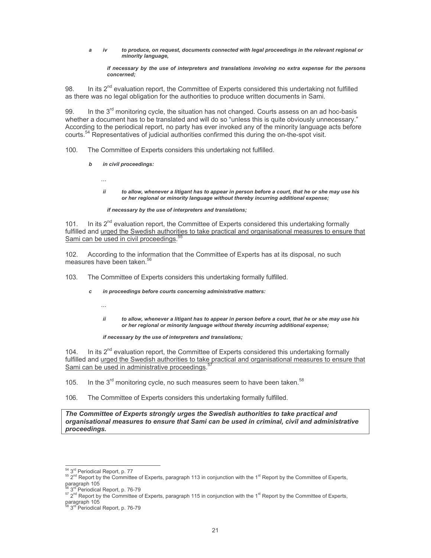$iv$ to produce, on request, documents connected with legal proceedings in the relevant regional or a minority language.

if necessary by the use of interpreters and translations involving no extra expense for the persons concerned:

In its  $2^{nd}$  evaluation report, the Committee of Experts considered this undertaking not fulfilled 98 as there was no legal obligation for the authorities to produce written documents in Sami.

99. In the 3<sup>rd</sup> monitoring cycle, the situation has not changed. Courts assess on an ad hoc-basis whether a document has to be translated and will do so "unless this is quite obviously unnecessary." According to the periodical report, no party has ever invoked any of the minority language acts before courts.<sup>54</sup> Representatives of judicial authorities confirmed this during the on-the-spot visit.

The Committee of Experts considers this undertaking not fulfilled. 100.

> $\mathbf b$ in civil proceedings:

> > $\cdots$

ii to allow, whenever a litigant has to appear in person before a court, that he or she may use his or her regional or minority language without thereby incurring additional expense;

#### if necessary by the use of interpreters and translations;

In its  $2^{nd}$  evaluation report, the Committee of Experts considered this undertaking formally  $101$ fulfilled and urged the Swedish authorities to take practical and organisational measures to ensure that Sami can be used in civil proceedings.<sup>5</sup>

 $102.$ According to the information that the Committee of Experts has at its disposal, no such measures have been taken.<sup>50</sup>

 $103.$ The Committee of Experts considers this undertaking formally fulfilled.

- in proceedings before courts concerning administrative matters:  $\mathbf{c}$ 
	- $\ddotsc$
	- to allow, whenever a litigant has to appear in person before a court, that he or she may use his ii or her regional or minority language without thereby incurring additional expense;

if necessary by the use of interpreters and translations;

In its  $2^{nd}$  evaluation report, the Committee of Experts considered this undertaking formally  $104$ fulfilled and urged the Swedish authorities to take practical and organisational measures to ensure that Sami can be used in administrative proceedings.

- In the 3<sup>rd</sup> monitoring cycle, no such measures seem to have been taken.<sup>58</sup>  $105.$
- The Committee of Experts considers this undertaking formally fulfilled. 106.

The Committee of Experts strongly urges the Swedish authorities to take practical and organisational measures to ensure that Sami can be used in criminal, civil and administrative proceedings.

<sup>54 3</sup>rd Periodical Report, p. 77

<sup>&</sup>lt;sup>55</sup>  $2^{nd}$  Report by the Committee of Experts, paragraph 113 in conjunction with the 1<sup>st</sup> Report by the Committee of Experts, paragraph 105

<sup>&</sup>lt;sup>d</sup> Periodical Report, p. 76-79

 $57$  2<sup>nd</sup> Report by the Committee of Experts, paragraph 115 in conjunction with the 1<sup>st</sup> Report by the Committee of Experts,

paragraph 105

<sup>3</sup>rd Periodical Report, p. 76-79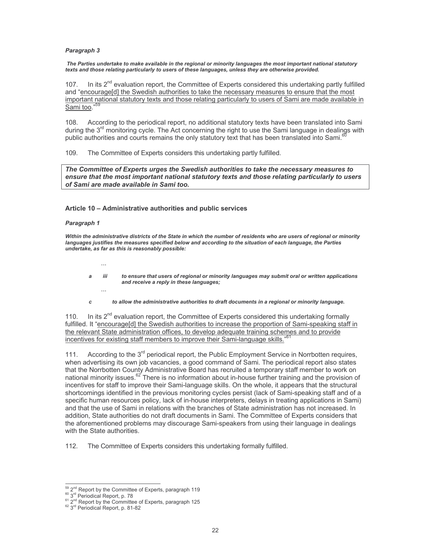#### Paragraph 3

The Parties undertake to make available in the regional or minority languages the most important national statutory texts and those relating particularly to users of these languages, unless they are otherwise provided.

 $107<sub>1</sub>$ In its  $2^{nd}$  evaluation report, the Committee of Experts considered this undertaking partly fulfilled and "encourage[d] the Swedish authorities to take the necessary measures to ensure that the most important national statutory texts and those relating particularly to users of Sami are made available in Sami too."

According to the periodical report, no additional statutory texts have been translated into Sami 108. during the 3<sup>rd</sup> monitoring cycle. The Act concerning the right to use the Sami language in dealings with public authorities and courts remains the only statutory text that has been translated into Sami.<sup>67</sup>

The Committee of Experts considers this undertaking partly fulfilled.  $109.$ 

The Committee of Experts urges the Swedish authorities to take the necessary measures to ensure that the most important national statutory texts and those relating particularly to users of Sami are made available in Sami too.

#### Article 10 - Administrative authorities and public services

#### Paragraph 1

 $\ldots$ 

 $\cdots$ 

Within the administrative districts of the State in which the number of residents who are users of regional or minority languages justifies the measures specified below and according to the situation of each language, the Parties undertake, as far as this is reasonably possible:

- iii to ensure that users of regional or minority languages may submit oral or written applications a and receive a reply in these languages;
- to allow the administrative authorities to draft documents in a regional or minority language.  $\overline{c}$

In its  $2^{nd}$  evaluation report, the Committee of Experts considered this undertaking formally  $110.$ fulfilled. It "encourage[d] the Swedish authorities to increase the proportion of Sami-speaking staff in the relevant State administration offices, to develop adequate training schemes and to provide incentives for existing staff members to improve their Sami-language skills."<sup>6</sup>

According to the 3<sup>rd</sup> periodical report, the Public Employment Service in Norrbotten requires, 111. when advertising its own job vacancies, a good command of Sami. The periodical report also states that the Norrbotten County Administrative Board has recruited a temporary staff member to work on national minority issues.<sup>62</sup> There is no information about in-house further training and the provision of incentives for staff to improve their Sami-language skills. On the whole, it appears that the structural shortcomings identified in the previous monitoring cycles persist (lack of Sami-speaking staff and of a specific human resources policy, lack of in-house interpreters, delays in treating applications in Sami) and that the use of Sami in relations with the branches of State administration has not increased. In addition, State authorities do not draft documents in Sami. The Committee of Experts considers that the aforementioned problems may discourage Sami-speakers from using their language in dealings with the State authorities.

112. The Committee of Experts considers this undertaking formally fulfilled.

<sup>59 2&</sup>lt;sup>nd</sup> Report by the Committee of Experts, paragraph 119

<sup>&</sup>lt;sup>60</sup> 3<sup>rd</sup> Periodical Report, p. 78

<sup>&</sup>lt;sup>61</sup> 2<sup>nd</sup> Report by the Committee of Experts, paragraph 125<br><sup>62</sup> 3<sup>rd</sup> Periodical Report, p. 81-82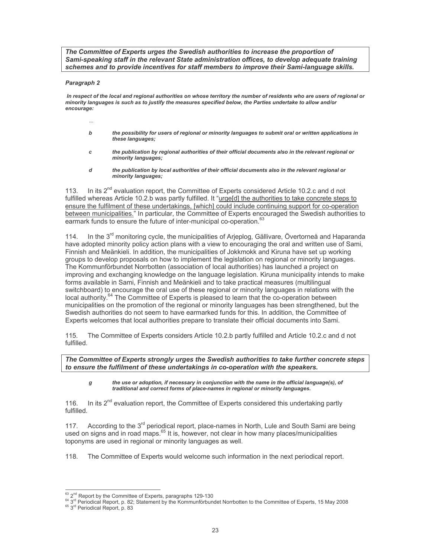The Committee of Experts urges the Swedish authorities to increase the proportion of Sami-speaking staff in the relevant State administration offices, to develop adequate training schemes and to provide incentives for staff members to improve their Sami-language skills.

### Paragraph 2

In respect of the local and regional authorities on whose territory the number of residents who are users of regional or minority languages is such as to justify the measures specified below, the Parties undertake to allow and/or encourage:

- $\ddotsc$
- $\mathbf b$ the possibility for users of regional or minority languages to submit oral or written applications in these languages:
- the publication by regional authorities of their official documents also in the relevant regional or c minority languages:
- d the publication by local authorities of their official documents also in the relevant regional or minority languages;

In its 2<sup>nd</sup> evaluation report, the Committee of Experts considered Article 10.2.c and d not 113. fulfilled whereas Article 10.2.b was partly fulfilled. It "urge[d] the authorities to take concrete steps to ensure the fulfilment of these undertakings, [which] could include continuing support for co-operation between municipalities." In particular, the Committee of Experts encouraged the Swedish authorities to earmark funds to ensure the future of inter-municipal co-operation.<sup>62</sup>

In the 3<sup>rd</sup> monitoring cycle, the municipalities of Arjeplog, Gällivare, Övertorneå and Haparanda  $114.$ have adopted minority policy action plans with a view to encouraging the oral and written use of Sami, Finnish and Meänkieli. In addition, the municipalities of Jokkmokk and Kiruna have set up working groups to develop proposals on how to implement the legislation on regional or minority languages. The Kommunförbundet Norrbotten (association of local authorities) has launched a project on improving and exchanging knowledge on the language legislation. Kiruna municipality intends to make forms available in Sami, Finnish and Meänkieli and to take practical measures (multilingual switchboard) to encourage the oral use of these regional or minority languages in relations with the local authority.<sup>64</sup> The Committee of Experts is pleased to learn that the co-operation between municipalities on the promotion of the regional or minority languages has been strengthened, but the Swedish authorities do not seem to have earmarked funds for this. In addition, the Committee of Experts welcomes that local authorities prepare to translate their official documents into Sami.

 $115.$ The Committee of Experts considers Article 10.2.b partly fulfilled and Article 10.2.c and d not fulfilled.

The Committee of Experts strongly urges the Swedish authorities to take further concrete steps to ensure the fulfilment of these undertakings in co-operation with the speakers.

g the use or adoption, if necessary in conjunction with the name in the official language(s), of traditional and correct forms of place-names in regional or minority languages.

In its 2<sup>nd</sup> evaluation report, the Committee of Experts considered this undertaking partly  $116.$ fulfilled.

According to the 3<sup>rd</sup> periodical report, place-names in North, Lule and South Sami are being  $117.$ used on signs and in road maps.<sup>65</sup> It is, however, not clear in how many places/municipalities toponyms are used in regional or minority languages as well.

 $118.$ The Committee of Experts would welcome such information in the next periodical report.

<sup>63 2&</sup>lt;sup>nd</sup> Report by the Committee of Experts, paragraphs 129-130

<sup>&</sup>lt;sup>64</sup> 3<sup>rd</sup> Periodical Report, p. 82; Statement by the Kommunförbundet Norrbotten to the Committee of Experts, 15 May 2008<br><sup>65</sup> 3<sup>rd</sup> Periodical Report, p. 83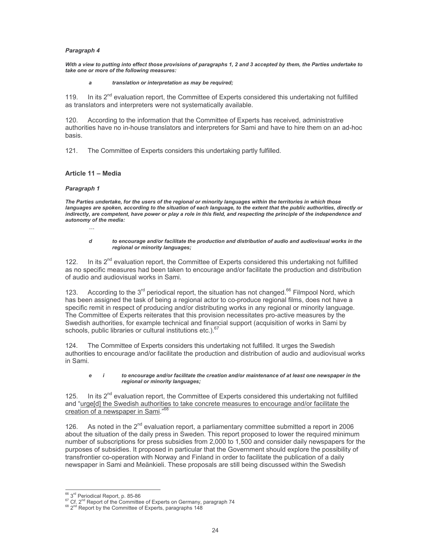### Paragraph 4

With a view to putting into effect those provisions of paragraphs 1, 2 and 3 accepted by them, the Parties undertake to take one or more of the following measures:

#### translation or interpretation as may be required;  $\overline{a}$

In its 2<sup>nd</sup> evaluation report, the Committee of Experts considered this undertaking not fulfilled 119. as translators and interpreters were not systematically available.

According to the information that the Committee of Experts has received, administrative 120. authorities have no in-house translators and interpreters for Sami and have to hire them on an ad-hoc basis.

The Committee of Experts considers this undertaking partly fulfilled.  $121$ 

### Article 11 - Media

#### Paragraph 1

The Parties undertake, for the users of the regional or minority languages within the territories in which those languages are spoken, according to the situation of each language, to the extent that the public authorities, directly or indirectly, are competent, have power or play a role in this field, and respecting the principle of the independence and autonomy of the media:

d

#### to encourage and/or facilitate the production and distribution of audio and audiovisual works in the regional or minority languages;

In its 2<sup>nd</sup> evaluation report, the Committee of Experts considered this undertaking not fulfilled  $122$ as no specific measures had been taken to encourage and/or facilitate the production and distribution of audio and audiovisual works in Sami.

According to the  $3^{rd}$  periodical report, the situation has not changed.<sup>66</sup> Filmpool Nord, which  $123.$ has been assigned the task of being a regional actor to co-produce regional films, does not have a specific remit in respect of producing and/or distributing works in any regional or minority language. The Committee of Experts reiterates that this provision necessitates pro-active measures by the Swedish authorities, for example technical and financial support (acquisition of works in Sami by schools, public libraries or cultural institutions etc.).<sup>67</sup>

The Committee of Experts considers this undertaking not fulfilled. It urges the Swedish  $124$ authorities to encourage and/or facilitate the production and distribution of audio and audiovisual works in Sami.

#### e  $\overline{I}$ to encourage and/or facilitate the creation and/or maintenance of at least one newspaper in the regional or minority languages;

In its 2<sup>nd</sup> evaluation report, the Committee of Experts considered this undertaking not fulfilled 125. and "urge[d] the Swedish authorities to take concrete measures to encourage and/or facilitate the creation of a newspaper in Sami."<sup>6</sup>

126. As noted in the 2<sup>nd</sup> evaluation report, a parliamentary committee submitted a report in 2006 about the situation of the daily press in Sweden. This report proposed to lower the required minimum number of subscriptions for press subsidies from 2,000 to 1,500 and consider daily newspapers for the purposes of subsidies. It proposed in particular that the Government should explore the possibility of transfrontier co-operation with Norway and Finland in order to facilitate the publication of a daily newspaper in Sami and Meänkieli. These proposals are still being discussed within the Swedish

<sup>66 3</sup>rd Periodical Report, p. 85-86

<sup>&</sup>lt;sup>67</sup> Cf. 2<sup>nd</sup> Report of the Committee of Experts on Germany, paragraph 74

<sup>&</sup>lt;sup>68</sup> 2<sup>nd</sup> Report by the Committee of Experts, paragraphs 148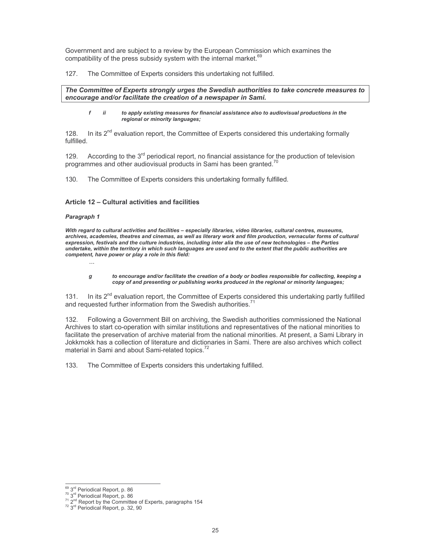Government and are subject to a review by the European Commission which examines the compatibility of the press subsidy system with the internal market.<sup>69</sup>

 $127.$ The Committee of Experts considers this undertaking not fulfilled.

#### The Committee of Experts strongly urges the Swedish authorities to take concrete measures to encourage and/or facilitate the creation of a newspaper in Sami.

£  $\ddot{u}$ to apply existing measures for financial assistance also to audiovisual productions in the regional or minority languages;

In its  $2^{nd}$  evaluation report, the Committee of Experts considered this undertaking formally 128 fulfilled.

According to the 3<sup>rd</sup> periodical report, no financial assistance for the production of television 129. programmes and other audiovisual products in Sami has been granted.<sup>7</sup>

130. The Committee of Experts considers this undertaking formally fulfilled.

## Article 12 - Cultural activities and facilities

#### Paragraph 1

With regard to cultural activities and facilities - especially libraries, video libraries, cultural centres, museums, archives, academies, theatres and cinemas, as well as literary work and film production, vernacular forms of cultural expression, festivals and the culture industries, including inter alia the use of new technologies - the Parties undertake, within the territory in which such languages are used and to the extent that the public authorities are competent, have power or play a role in this field:

to encourage and/or facilitate the creation of a body or bodies responsible for collecting, keeping a g copy of and presenting or publishing works produced in the regional or minority languages;

In its 2<sup>nd</sup> evaluation report, the Committee of Experts considered this undertaking partly fulfilled 131. and requested further information from the Swedish authorities.<sup>71</sup>

Following a Government Bill on archiving, the Swedish authorities commissioned the National 132. Archives to start co-operation with similar institutions and representatives of the national minorities to facilitate the preservation of archive material from the national minorities. At present, a Sami Library in Jokkmokk has a collection of literature and dictionaries in Sami. There are also archives which collect material in Sami and about Sami-related topics.<sup>72</sup>

 $133.$ The Committee of Experts considers this undertaking fulfilled.

<sup>69 3</sup>rd Periodical Report, p. 86

<sup>&</sup>lt;sup>27</sup> 3<sup>rd</sup> Periodical Report, p. co<br>
<sup>71</sup> 2<sup>nd</sup> Report by the Committee of Experts, paragraphs 154<br>
<sup>72</sup> 3<sup>rd</sup> Periodical Report, p. 32, 90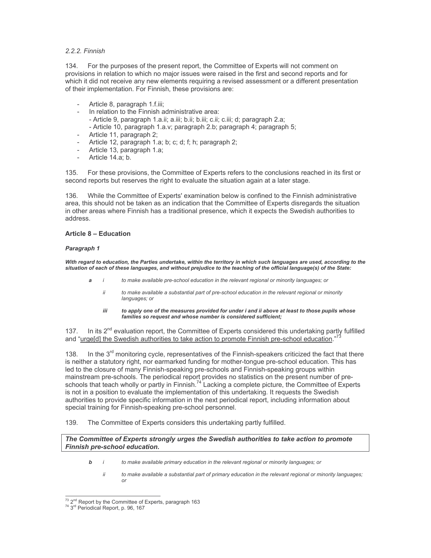## 2.2.2. Finnish

 $134.$ For the purposes of the present report, the Committee of Experts will not comment on provisions in relation to which no major issues were raised in the first and second reports and for which it did not receive any new elements requiring a revised assessment or a different presentation of their implementation. For Finnish, these provisions are:

- Article 8, paragraph 1.f.iii;
	- In relation to the Finnish administrative area:
	- Article 9, paragraph 1.a.ii; a.iii; b.ii; b.iii; c.ii; c.iii; d; paragraph 2.a; - Article 10, paragraph 1.a.v; paragraph 2.b; paragraph 4; paragraph 5;
- Article 11, paragraph 2;
- Article 12, paragraph 1.a; b; c; d; f; h; paragraph 2;
- Article 13, paragraph 1.a;  $\sim$
- Article 14.a; b.

135. For these provisions, the Committee of Experts refers to the conclusions reached in its first or second reports but reserves the right to evaluate the situation again at a later stage.

While the Committee of Experts' examination below is confined to the Finnish administrative 136. area, this should not be taken as an indication that the Committee of Experts disregards the situation in other areas where Finnish has a traditional presence, which it expects the Swedish authorities to address

### **Article 8 - Education**

### Paragraph 1

With regard to education, the Parties undertake, within the territory in which such languages are used, according to the situation of each of these languages, and without prejudice to the teaching of the official language(s) of the State:

- to make available pre-school education in the relevant regional or minority languages; or a
	- ii to make available a substantial part of pre-school education in the relevant regional or minority languages; or
	- to apply one of the measures provided for under i and ii above at least to those pupils whose iii families so request and whose number is considered sufficient;

In its 2<sup>nd</sup> evaluation report, the Committee of Experts considered this undertaking partly fulfilled 137 and "urgeld] the Swedish authorities to take action to promote Finnish pre-school education."

In the 3<sup>rd</sup> monitoring cycle, representatives of the Finnish-speakers criticized the fact that there 138. is neither a statutory right, nor earmarked funding for mother-tongue pre-school education. This has led to the closure of many Finnish-speaking pre-schools and Finnish-speaking groups within mainstream pre-schools. The periodical report provides no statistics on the present number of preschools that teach wholly or partly in Finnish.<sup>74</sup> Lacking a complete picture, the Committee of Experts is not in a position to evaluate the implementation of this undertaking. It requests the Swedish authorities to provide specific information in the next periodical report, including information about special training for Finnish-speaking pre-school personnel.

#### The Committee of Experts considers this undertaking partly fulfilled. 139.

## The Committee of Experts strongly urges the Swedish authorities to take action to promote Finnish pre-school education.

- to make available primary education in the relevant regional or minority languages; or  $\mathbf b$  $\overline{\phantom{a}}$ 
	- ii to make available a substantial part of primary education in the relevant regional or minority languages; or

 $^{73}$  2<sup>nd</sup> Report by the Committee of Experts, paragraph 163<br> $^{74}$  3<sup>rd</sup> Periodical Report, p. 96, 167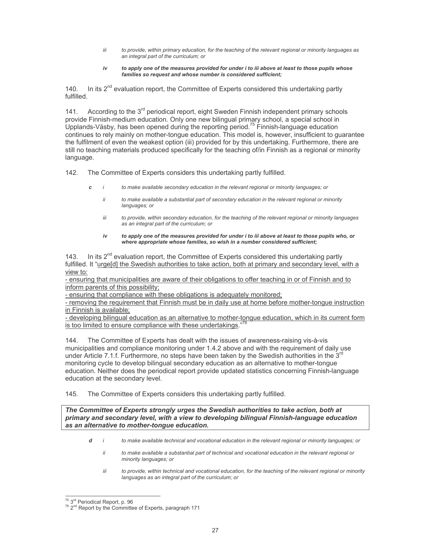- iii to provide, within primary education, for the teaching of the relevant regional or minority languages as an integral part of the curriculum: or
- iv to apply one of the measures provided for under i to iii above at least to those pupils whose families so request and whose number is considered sufficient;

140. In its  $2^{nd}$  evaluation report, the Committee of Experts considered this undertaking partly fulfilled.

According to the 3<sup>rd</sup> periodical report, eight Sweden Finnish independent primary schools  $141.$ provide Finnish-medium education. Only one new bilingual primary school, a special school in Upplands-Väsby, has been opened during the reporting period.<sup>75</sup> Finnish-language education continues to rely mainly on mother-tongue education. This model is, however, insufficient to guarantee the fulfilment of even the weakest option (iii) provided for by this undertaking. Furthermore, there are still no teaching materials produced specifically for the teaching of/in Finnish as a regional or minority language.

The Committee of Experts considers this undertaking partly fulfilled.  $142.$ 

- to make available secondary education in the relevant regional or minority languages; or c  $\mathbf{i}$ 
	- ii to make available a substantial part of secondary education in the relevant regional or minority languages; or
	- iii to provide, within secondary education, for the teaching of the relevant regional or minority languages as an integral part of the curriculum; or
	- $iv$ to apply one of the measures provided for under i to iii above at least to those pupils who, or where appropriate whose families, so wish in a number considered sufficient;

In its 2<sup>nd</sup> evaluation report, the Committee of Experts considered this undertaking partly 143. fulfilled. It "urge[d] the Swedish authorities to take action, both at primary and secondary level, with a view to:

- ensuring that municipalities are aware of their obligations to offer teaching in or of Finnish and to inform parents of this possibility;

- ensuring that compliance with these obligations is adequately monitored;

- removing the requirement that Finnish must be in daily use at home before mother-tongue instruction in Finnish is available;

- developing bilingual education as an alternative to mother-tongue education, which in its current form is too limited to ensure compliance with these undertakings."<sup>76</sup>

144. The Committee of Experts has dealt with the issues of awareness-raising vis-à-vis municipalities and compliance monitoring under 1.4.2 above and with the requirement of daily use under Article 7.1.f. Furthermore, no steps have been taken by the Swedish authorities in the 3<sup>rd</sup> monitoring cycle to develop bilingual secondary education as an alternative to mother-tongue education. Neither does the periodical report provide updated statistics concerning Finnish-language education at the secondary level.

145. The Committee of Experts considers this undertaking partly fulfilled.

The Committee of Experts strongly urges the Swedish authorities to take action, both at primary and secondary level, with a view to developing bilingual Finnish-language education as an alternative to mother-tonque education.

- d  $\mathbf{i}$ to make available technical and vocational education in the relevant regional or minority languages; or
	- ii to make available a substantial part of technical and vocational education in the relevant regional or minority languages; or
	- iii to provide, within technical and vocational education, for the teaching of the relevant regional or minority languages as an integral part of the curriculum; or

 $75$  3<sup>rd</sup> Periodical Report, p. 96

<sup>&</sup>lt;sup>76</sup> 2<sup>nd</sup> Report by the Committee of Experts, paragraph 171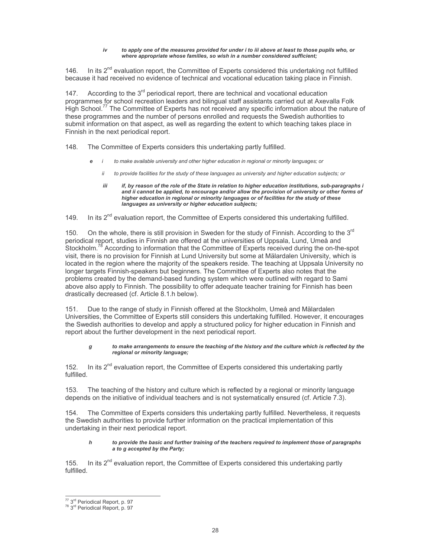#### iv to apply one of the measures provided for under i to iii above at least to those pupils who, or where appropriate whose families, so wish in a number considered sufficient;

In its  $2<sup>nd</sup>$  evaluation report, the Committee of Experts considered this undertaking not fulfilled  $146$ because it had received no evidence of technical and vocational education taking place in Finnish.

According to the  $3<sup>rd</sup>$  periodical report, there are technical and vocational education  $147.$ programmes for school recreation leaders and bilingual staff assistants carried out at Axevalla Folk High School.<sup>77</sup> The Committee of Experts has not received any specific information about the nature of these programmes and the number of persons enrolled and requests the Swedish authorities to submit information on that aspect, as well as regarding the extent to which teaching takes place in Finnish in the next periodical report.

The Committee of Experts considers this undertaking partly fulfilled. 148.

- to make available university and other higher education in regional or minority languages; or e  $\overline{I}$ 
	- $ii$ to provide facilities for the study of these languages as university and higher education subjects; or
	- if, by reason of the role of the State in relation to higher education institutions, sub-paragraphs i iii and ii cannot be applied, to encourage and/or allow the provision of university or other forms of higher education in regional or minority languages or of facilities for the study of these languages as university or higher education subjects;

In its 2<sup>nd</sup> evaluation report, the Committee of Experts considered this undertaking fulfilled. 149.

On the whole, there is still provision in Sweden for the study of Finnish. Accordina to the 3<sup>rd</sup>  $150$ periodical report, studies in Finnish are offered at the universities of Uppsala, Lund, Umeå and Stockholm.<sup>78</sup> According to information that the Committee of Experts received during the on-the-spot visit, there is no provision for Finnish at Lund University but some at Mälardalen University, which is located in the region where the majority of the speakers reside. The teaching at Uppsala University no longer targets Finnish-speakers but beginners. The Committee of Experts also notes that the problems created by the demand-based funding system which were outlined with regard to Sami above also apply to Finnish. The possibility to offer adequate teacher training for Finnish has been drastically decreased (cf. Article 8.1.h below).

Due to the range of study in Finnish offered at the Stockholm, Umeå and Mälardalen  $151.$ Universities, the Committee of Experts still considers this undertaking fulfilled. However, it encourages the Swedish authorities to develop and apply a structured policy for higher education in Finnish and report about the further development in the next periodical report.

#### to make arrangements to ensure the teaching of the history and the culture which is reflected by the q regional or minority language;

 $152.$ In its 2<sup>nd</sup> evaluation report, the Committee of Experts considered this undertaking partly fulfilled.

The teaching of the history and culture which is reflected by a regional or minority language  $153.$ depends on the initiative of individual teachers and is not systematically ensured (cf. Article 7.3).

The Committee of Experts considers this undertaking partly fulfilled. Nevertheless, it requests 154 the Swedish authorities to provide further information on the practical implementation of this undertaking in their next periodical report.

#### h to provide the basic and further training of the teachers required to implement those of paragraphs a to g accepted by the Party;

In its 2<sup>nd</sup> evaluation report, the Committee of Experts considered this undertaking partly  $155.$ fulfilled

 $\frac{77}{78}$  3<sup>rd</sup> Periodical Report, p. 97<br><sup>78</sup> 3<sup>rd</sup> Periodical Report, p. 97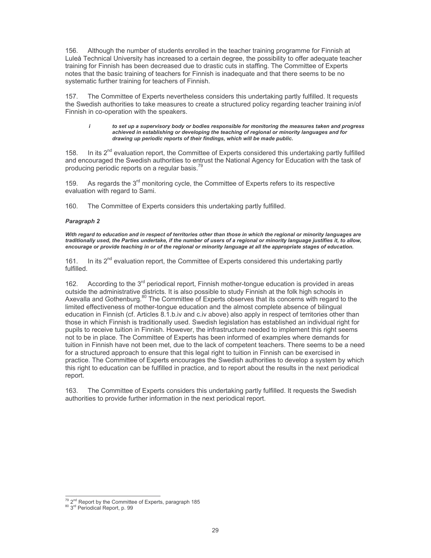Although the number of students enrolled in the teacher training programme for Finnish at 156. Luleå Technical University has increased to a certain degree, the possibility to offer adequate teacher training for Finnish has been decreased due to drastic cuts in staffing. The Committee of Experts notes that the basic training of teachers for Finnish is inadequate and that there seems to be no systematic further training for teachers of Finnish.

The Committee of Experts nevertheless considers this undertaking partly fulfilled. It requests  $157.$ the Swedish authorities to take measures to create a structured policy regarding teacher training in/of Finnish in co-operation with the speakers.

#### to set up a supervisory body or bodies responsible for monitoring the measures taken and progress  $\mathbf{i}$ achieved in establishing or developing the teaching of regional or minority languages and for drawing up periodic reports of their findings, which will be made public.

158. In its 2<sup>nd</sup> evaluation report, the Committee of Experts considered this undertaking partly fulfilled and encouraged the Swedish authorities to entrust the National Agency for Education with the task of producing periodic reports on a regular basis.<sup>7</sup>

As regards the 3<sup>rd</sup> monitoring cycle, the Committee of Experts refers to its respective 159. evaluation with regard to Sami.

160. The Committee of Experts considers this undertaking partly fulfilled.

#### Paragraph 2

With regard to education and in respect of territories other than those in which the regional or minority languages are traditionally used, the Parties undertake, if the number of users of a regional or minority language justifies it, to allow, encourage or provide teaching in or of the regional or minority language at all the appropriate stages of education.

In its  $2^{nd}$  evaluation report, the Committee of Experts considered this undertaking partly 161. fulfilled.

According to the  $3<sup>rd</sup>$  periodical report, Finnish mother-tongue education is provided in areas  $162.$ outside the administrative districts. It is also possible to study Finnish at the folk high schools in Axevalla and Gothenburg.<sup>80</sup> The Committee of Experts observes that its concerns with regard to the limited effectiveness of mother-tonque education and the almost complete absence of bilingual education in Finnish (cf. Articles 8.1.b.iv and c.iv above) also apply in respect of territories other than those in which Finnish is traditionally used. Swedish legislation has established an individual right for pupils to receive tuition in Finnish. However, the infrastructure needed to implement this right seems not to be in place. The Committee of Experts has been informed of examples where demands for tuition in Finnish have not been met, due to the lack of competent teachers. There seems to be a need for a structured approach to ensure that this legal right to tuition in Finnish can be exercised in practice. The Committee of Experts encourages the Swedish authorities to develop a system by which this right to education can be fulfilled in practice, and to report about the results in the next periodical report.

163. The Committee of Experts considers this undertaking partly fulfilled. It requests the Swedish authorities to provide further information in the next periodical report.

 $^{79}$  2<sup>nd</sup> Report by the Committee of Experts, paragraph 185<br><sup>80</sup> 3<sup>rd</sup> Periodical Report, p. 99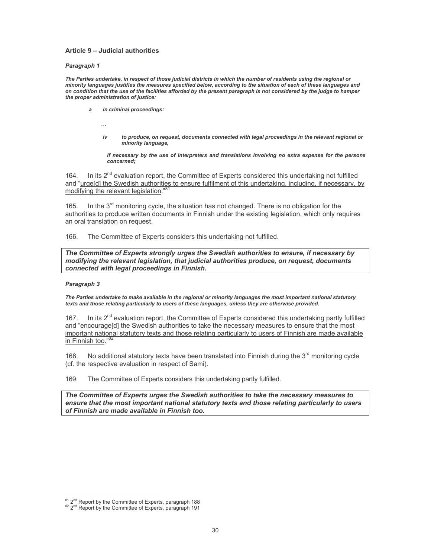#### Article 9 - Judicial authorities

#### Paragraph 1

The Parties undertake, in respect of those judicial districts in which the number of residents using the regional or minority languages justifies the measures specified below, according to the situation of each of these languages and on condition that the use of the facilities afforded by the present paragraph is not considered by the judge to hamper the proper administration of justice:

- in criminal proceedings:
	- $\ddotsc$
	- to produce, on request, documents connected with legal proceedings in the relevant regional or iv minority language.

if necessary by the use of interpreters and translations involving no extra expense for the persons concerned:

In its 2<sup>nd</sup> evaluation report, the Committee of Experts considered this undertaking not fulfilled  $164$ and "urge[d] the Swedish authorities to ensure fulfilment of this undertaking, including, if necessary, by modifying the relevant legislation.

In the 3<sup>rd</sup> monitoring cycle, the situation has not changed. There is no obligation for the 165. authorities to produce written documents in Finnish under the existing legislation, which only requires an oral translation on request.

The Committee of Experts considers this undertaking not fulfilled. 166

The Committee of Experts strongly urges the Swedish authorities to ensure, if necessary by modifying the relevant legislation, that judicial authorities produce, on request, documents connected with legal proceedings in Finnish.

### Paragraph 3

The Parties undertake to make available in the regional or minority languages the most important national statutory texts and those relating particularly to users of these languages, unless they are otherwise provided.

In its  $2^{nd}$  evaluation report, the Committee of Experts considered this undertaking partly fulfilled 167. and "encourage[d] the Swedish authorities to take the necessary measures to ensure that the most important national statutory texts and those relating particularly to users of Finnish are made available in Finnish too."<sup>8</sup>

No additional statutory texts have been translated into Finnish during the 3<sup>rd</sup> monitoring cvcle 168. (cf. the respective evaluation in respect of Sami).

169. The Committee of Experts considers this undertaking partly fulfilled.

The Committee of Experts urges the Swedish authorities to take the necessary measures to ensure that the most important national statutory texts and those relating particularly to users of Finnish are made available in Finnish too.

 $^{81}$  2<sup>nd</sup> Report by the Committee of Experts, paragraph 188<br> $^{82}$  2<sup>nd</sup> Report by the Committee of Experts, paragraph 191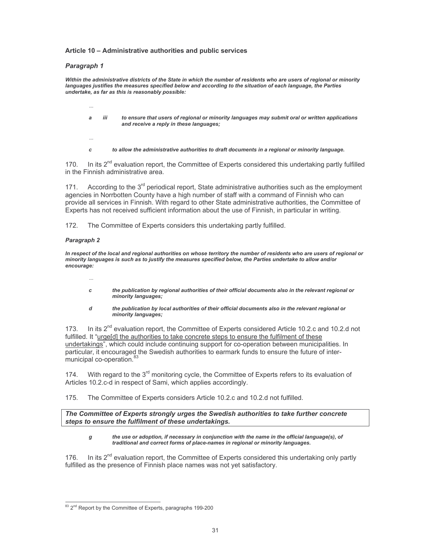### Article 10 - Administrative authorities and public services

## Paragraph 1

Within the administrative districts of the State in which the number of residents who are users of regional or minority languages justifies the measures specified below and according to the situation of each language, the Parties undertake, as far as this is reasonably possible:

- iii to ensure that users of regional or minority languages may submit oral or written applications a and receive a reply in these languages;
- $\overline{c}$

 $\cdots$ 

to allow the administrative authorities to draft documents in a regional or minority language.

170. In its 2<sup>nd</sup> evaluation report, the Committee of Experts considered this undertaking partly fulfilled in the Finnish administrative area.

According to the  $3<sup>rd</sup>$  periodical report, State administrative authorities such as the employment 171. agencies in Norrbotten County have a high number of staff with a command of Finnish who can provide all services in Finnish. With regard to other State administrative authorities, the Committee of Experts has not received sufficient information about the use of Finnish, in particular in writing.

The Committee of Experts considers this undertaking partly fulfilled. 172.

## Paragraph 2

In respect of the local and regional authorities on whose territory the number of residents who are users of regional or minority languages is such as to justify the measures specified below, the Parties undertake to allow and/or encourage:

- the publication by regional authorities of their official documents also in the relevant regional or  $\mathbf c$ minority languages;
- d the publication by local authorities of their official documents also in the relevant regional or minority languages;

In its  $2^{nd}$  evaluation report, the Committee of Experts considered Article 10.2.c and 10.2.d not 173. fulfilled. It "urge[d] the authorities to take concrete steps to ensure the fulfilment of these undertakings", which could include continuing support for co-operation between municipalities. In particular, it encouraged the Swedish authorities to earmark funds to ensure the future of intermunicipal co-operation.<sup>83</sup>

With regard to the 3<sup>rd</sup> monitoring cycle, the Committee of Experts refers to its evaluation of 174. Articles 10.2.c-d in respect of Sami, which applies accordingly.

The Committee of Experts considers Article 10.2.c and 10.2.d not fulfilled. 175.

The Committee of Experts strongly urges the Swedish authorities to take further concrete steps to ensure the fulfilment of these undertakings.

#### the use or adoption, if necessary in conjunction with the name in the official language(s), of  $\boldsymbol{g}$ traditional and correct forms of place-names in regional or minority languages.

In its  $2^{nd}$  evaluation report, the Committee of Experts considered this undertaking only partly 176. fulfilled as the presence of Finnish place names was not yet satisfactory.

<sup>83 2&</sup>lt;sup>nd</sup> Report by the Committee of Experts, paragraphs 199-200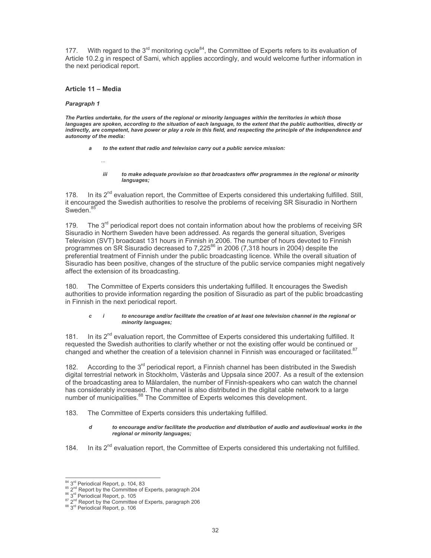With regard to the 3<sup>rd</sup> monitoring cycle<sup>84</sup>, the Committee of Experts refers to its evaluation of  $177.$ Article 10.2.g in respect of Sami, which applies accordingly, and would welcome further information in the next periodical report.

### Article 11 - Media

 $\mathbf{r}$ 

#### Paragraph 1

The Parties undertake, for the users of the regional or minority languages within the territories in which those languages are spoken, according to the situation of each language, to the extent that the public authorities, directly or indirectly, are competent, have power or play a role in this field, and respecting the principle of the independence and autonomy of the media:

- to the extent that radio and television carry out a public service mission: a
	- iii to make adequate provision so that broadcasters offer programmes in the regional or minority languages;

In its 2<sup>nd</sup> evaluation report, the Committee of Experts considered this undertaking fulfilled. Still, 178 it encouraged the Swedish authorities to resolve the problems of receiving SR Sisuradio in Northern Sweden.<sup>85</sup>

The  $3<sup>rd</sup>$  periodical report does not contain information about how the problems of receiving SR 179. Sisuradio in Northern Sweden have been addressed. As regards the general situation, Sveriges Television (SVT) broadcast 131 hours in Finnish in 2006. The number of hours devoted to Finnish programmes on SR Sisuradio decreased to 7,225<sup>86</sup> in 2006 (7,318 hours in 2004) despite the preferential treatment of Finnish under the public broadcasting licence. While the overall situation of Sisuradio has been positive, changes of the structure of the public service companies might negatively affect the extension of its broadcasting.

180. The Committee of Experts considers this undertaking fulfilled. It encourages the Swedish authorities to provide information regarding the position of Sisuradio as part of the public broadcasting in Finnish in the next periodical report.

#### $c \quad i$ to encourage and/or facilitate the creation of at least one television channel in the regional or minority languages;

In its 2<sup>nd</sup> evaluation report, the Committee of Experts considered this undertaking fulfilled. It requested the Swedish authorities to clarify whether or not the existing offer would be continued or changed and whether the creation of a television channel in Finnish was encouraged or facilitated.<sup>87</sup>

182 According to the  $3<sup>rd</sup>$  periodical report, a Finnish channel has been distributed in the Swedish digital terrestrial network in Stockholm, Västerås and Uppsala since 2007. As a result of the extension of the broadcasting area to Mälardalen, the number of Finnish-speakers who can watch the channel has considerably increased. The channel is also distributed in the digital cable network to a large number of municipalities.<sup>88</sup> The Committee of Experts welcomes this development.

183. The Committee of Experts considers this undertaking fulfilled.

#### d to encourage and/or facilitate the production and distribution of audio and audiovisual works in the regional or minority languages;

In its 2<sup>nd</sup> evaluation report, the Committee of Experts considered this undertaking not fulfilled. 184.

<sup>84 3</sup>rd Periodical Report, p. 104, 83

<sup>&</sup>lt;sup>85</sup> 2<sup>nd</sup> Report by the Committee of Experts, paragraph 204

<sup>86 3</sup>rd Periodical Report, p. 105

 $8^7$  2<sup>nd</sup> Report by the Committee of Experts, paragraph 206<br><sup>88</sup> 3<sup>nd</sup> Periodical Report, p. 106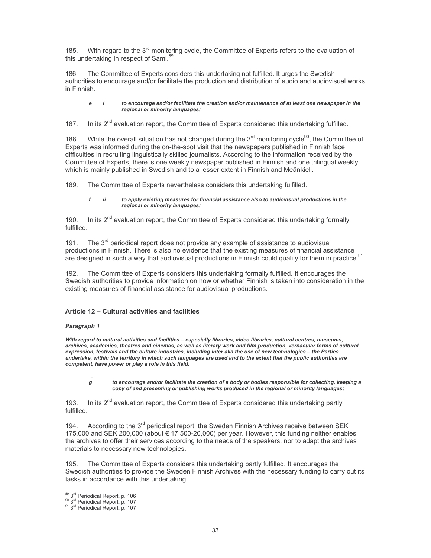With regard to the 3<sup>rd</sup> monitoring cycle, the Committee of Experts refers to the evaluation of 185 this undertaking in respect of Sami.<sup>89</sup>

The Committee of Experts considers this undertaking not fulfilled. It urges the Swedish 186. authorities to encourage and/or facilitate the production and distribution of audio and audiovisual works in Finnish.

#### $\overline{I}$ to encourage and/or facilitate the creation and/or maintenance of at least one newspaper in the ė regional or minority languages;

In its 2<sup>nd</sup> evaluation report, the Committee of Experts considered this undertaking fulfilled. 187.

While the overall situation has not changed during the  $3<sup>rd</sup>$  monitoring cycle<sup>90</sup>, the Committee of 188. Experts was informed during the on-the-spot visit that the newspapers published in Finnish face difficulties in recruiting linguistically skilled journalists. According to the information received by the Committee of Experts, there is one weekly newspaper published in Finnish and one trilingual weekly which is mainly published in Swedish and to a lesser extent in Finnish and Meänkieli.

189 The Committee of Experts nevertheless considers this undertaking fulfilled.

#### $\mathbf{f}$ ii to apply existing measures for financial assistance also to audiovisual productions in the regional or minority languages;

 $190.$ In its 2<sup>nd</sup> evaluation report, the Committee of Experts considered this undertaking formally fulfilled

191. The  $3<sup>rd</sup>$  periodical report does not provide any example of assistance to audiovisual productions in Finnish. There is also no evidence that the existing measures of financial assistance are designed in such a way that audiovisual productions in Finnish could qualify for them in practice.<sup>91</sup>

The Committee of Experts considers this undertaking formally fulfilled. It encourages the 192 Swedish authorities to provide information on how or whether Finnish is taken into consideration in the existing measures of financial assistance for audiovisual productions.

## Article 12 - Cultural activities and facilities

### Paragraph 1

With regard to cultural activities and facilities - especially libraries, video libraries, cultural centres, museums, archives, academies, theatres and cinemas, as well as literary work and film production, vernacular forms of cultural expression, festivals and the culture industries, including inter alia the use of new technologies - the Parties undertake, within the territory in which such languages are used and to the extent that the public authorities are competent, have power or play a role in this field:

g to encourage and/or facilitate the creation of a body or bodies responsible for collecting, keeping a copy of and presenting or publishing works produced in the regional or minority languages;

In its 2<sup>nd</sup> evaluation report, the Committee of Experts considered this undertaking partly 193. fulfilled.

According to the 3<sup>rd</sup> periodical report, the Sweden Finnish Archives receive between SEK 194. 175,000 and SEK 200,000 (about € 17,500-20,000) per year. However, this funding neither enables the archives to offer their services according to the needs of the speakers, nor to adapt the archives materials to necessary new technologies.

 $195$ The Committee of Experts considers this undertaking partly fulfilled. It encourages the Swedish authorities to provide the Sweden Finnish Archives with the necessary funding to carry out its tasks in accordance with this undertaking.

<sup>89 3</sup>rd Periodical Report, p. 106

 $3^{10}$  Periodical Report, p. 107<br>  $3^{11}$  3<sup>rd</sup> Periodical Report, p. 107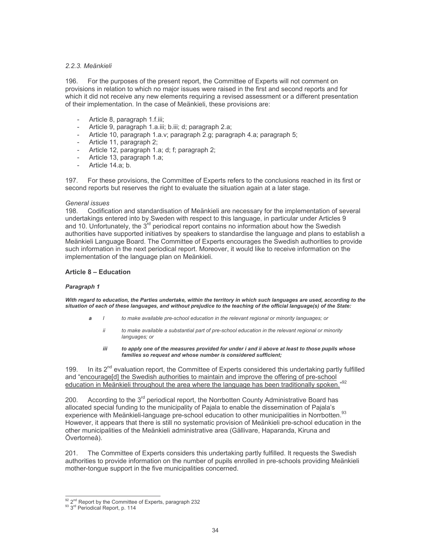### 2.2.3. Meänkieli

196. For the purposes of the present report, the Committee of Experts will not comment on provisions in relation to which no major issues were raised in the first and second reports and for which it did not receive any new elements requiring a revised assessment or a different presentation of their implementation. In the case of Meänkieli, these provisions are:

- Article 8, paragraph 1.f.iii;
- Article 9, paragraph 1.a.iii; b.iii; d; paragraph 2.a;
- Article 10, paragraph 1.a.v; paragraph 2.g; paragraph 4.a; paragraph 5;
- Article 11, paragraph 2;
- Article 12, paragraph 1.a; d; f; paragraph 2;
- Article 13, paragraph 1.a;
- Article  $14.a; b.$

For these provisions, the Committee of Experts refers to the conclusions reached in its first or 197 second reports but reserves the right to evaluate the situation again at a later stage.

### General issues

198 Codification and standardisation of Meänkieli are necessary for the implementation of several undertakings entered into by Sweden with respect to this language, in particular under Articles 9 and 10. Unfortunately, the 3<sup>rd</sup> periodical report contains no information about how the Swedish authorities have supported initiatives by speakers to standardise the language and plans to establish a Meänkieli Language Board. The Committee of Experts encourages the Swedish authorities to provide such information in the next periodical report. Moreover, it would like to receive information on the implementation of the language plan on Meänkieli.

### **Article 8 - Education**

### Paragraph 1

With regard to education, the Parties undertake, within the territory in which such languages are used, according to the situation of each of these languages, and without prejudice to the teaching of the official language(s) of the State:

- to make available pre-school education in the relevant regional or minority languages; or
	- ii to make available a substantial part of pre-school education in the relevant regional or minority languages; or
	- to apply one of the measures provided for under i and ii above at least to those pupils whose iii families so request and whose number is considered sufficient;

In its 2<sup>nd</sup> evaluation report, the Committee of Experts considered this undertaking partly fulfilled 199. and "encourage[d] the Swedish authorities to maintain and improve the offering of pre-school education in Meankieli throughout the area where the language has been traditionally spoken."92

According to the 3<sup>rd</sup> periodical report, the Norrbotten County Administrative Board has 200. allocated special funding to the municipality of Pajala to enable the dissemination of Pajala's experience with Meänkieli-language pre-school education to other municipalities in Norrbotten.<sup>93</sup> However, it appears that there is still no systematic provision of Meänkieli pre-school education in the other municipalities of the Meänkieli administrative area (Gällivare, Haparanda, Kiruna and Övertorneå).

The Committee of Experts considers this undertaking partly fulfilled. It requests the Swedish  $201.$ authorities to provide information on the number of pupils enrolled in pre-schools providing Meänkieli mother-tongue support in the five municipalities concerned.

 $\frac{92}{92}$   $2^{nd}$  Report by the Committee of Experts, paragraph 232<br><sup>93</sup>  $3^{rd}$  Periodical Report, p. 114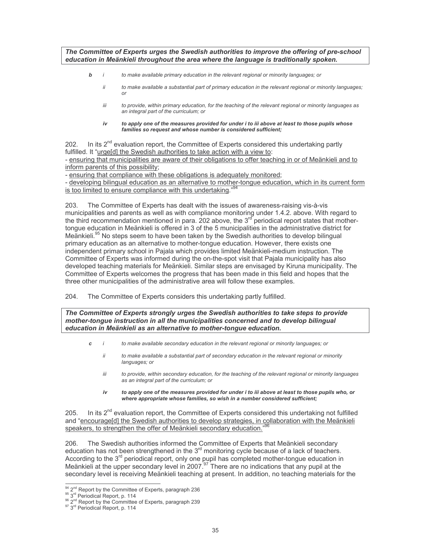The Committee of Experts urges the Swedish authorities to improve the offering of pre-school education in Meänkieli throughout the area where the language is traditionally spoken.

- $\mathbf{h}$ to make available primary education in the relevant regional or minority languages; or
	- ii to make available a substantial part of primary education in the relevant regional or minority languages;  $\alpha$ <sup>r</sup>
	- iii to provide, within primary education, for the teaching of the relevant regional or minority languages as an integral part of the curriculum; or
	- to apply one of the measures provided for under i to iii above at least to those pupils whose iv families so request and whose number is considered sufficient;

In its  $2^{nd}$  evaluation report, the Committee of Experts considered this undertaking partly  $202$ fulfilled. It "urge[d] the Swedish authorities to take action with a view to: - ensuring that municipalities are aware of their obligations to offer teaching in or of Meänkieli and to

inform parents of this possibility;

- ensuring that compliance with these obligations is adequately monitored;

- developing bilingual education as an alternative to mother-tongue education, which in its current form is too limited to ensure compliance with this undertaking."

The Committee of Experts has dealt with the issues of awareness-raising vis-à-vis 203. municipalities and parents as well as with compliance monitoring under 1.4.2. above. With regard to the third recommendation mentioned in para. 202 above, the 3<sup>rd</sup> periodical report states that mothertonque education in Meänkieli is offered in 3 of the 5 municipalities in the administrative district for Meänkieli.<sup>95</sup> No steps seem to have been taken by the Swedish authorities to develop bilingual primary education as an alternative to mother-tongue education. However, there exists one independent primary school in Pajala which provides limited Meänkieli-medium instruction. The Committee of Experts was informed during the on-the-spot visit that Pajala municipality has also developed teaching materials for Meänkieli. Similar steps are envisaged by Kiruna municipality. The Committee of Experts welcomes the progress that has been made in this field and hopes that the three other municipalities of the administrative area will follow these examples.

 $204$ The Committee of Experts considers this undertaking partly fulfilled.

The Committee of Experts strongly urges the Swedish authorities to take steps to provide mother-tongue instruction in all the municipalities concerned and to develop bilingual education in Meänkieli as an alternative to mother-tongue education.

- $\mathbf c$  $\overline{1}$ to make available secondary education in the relevant regional or minority languages; or
	- ii to make available a substantial part of secondary education in the relevant regional or minority languages; or
	- iii to provide, within secondary education, for the teaching of the relevant regional or minority languages as an integral part of the curriculum; or
	- iv to apply one of the measures provided for under i to iii above at least to those pupils who, or where appropriate whose families, so wish in a number considered sufficient;

In its 2<sup>nd</sup> evaluation report, the Committee of Experts considered this undertaking not fulfilled  $205$ and "encourage[d] the Swedish authorities to develop strategies, in collaboration with the Meänkieli speakers, to strengthen the offer of Meänkieli secondary education.

The Swedish authorities informed the Committee of Experts that Meänkieli secondary 206. education has not been strengthened in the 3<sup>rd</sup> monitoring cycle because of a lack of teachers. According to the 3<sup>rd</sup> periodical report, only one pupil has completed mother-tongue education in Meänkieli at the upper secondary level in 2007.<sup>97</sup> There are no indications that any pupil at the secondary level is receiving Meänkieli teaching at present. In addition, no teaching materials for the

<sup>94 2&</sup>lt;sup>nd</sup> Report by the Committee of Experts, paragraph 236

<sup>&</sup>lt;sup>95</sup>  $3<sup>rd</sup>$  Periodical Report, p. 114<br><sup>96</sup>  $2<sup>nd</sup>$  Report by the Committee of Experts, paragraph 239

<sup>&</sup>lt;sup>97</sup>3<sup>rd</sup> Periodical Report, p. 114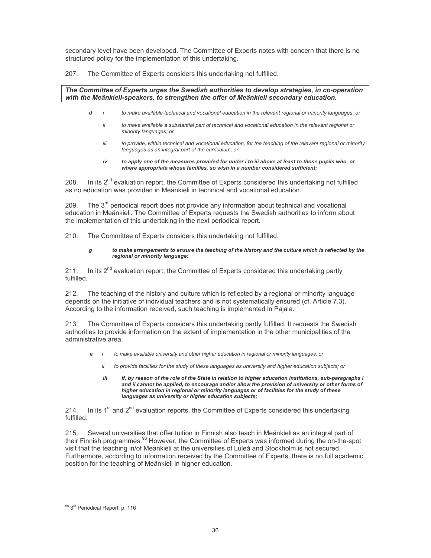secondary level have been developed. The Committee of Experts notes with concern that there is no structured policy for the implementation of this undertaking.

The Committee of Experts considers this undertaking not fulfilled. 207.

 $\overline{d}$ 

### The Committee of Experts urges the Swedish authorities to develop strategies, in co-operation with the Meänkieli-speakers, to strengthen the offer of Meänkieli secondary education.

- to make available technical and vocational education in the relevant regional or minority languages; or
	- ii to make available a substantial part of technical and vocational education in the relevant regional or minority languages; or
	- to provide, within technical and vocational education, for the teaching of the relevant regional or minority iii languages as an integral part of the curriculum; or
	- to apply one of the measures provided for under i to iii above at least to those pupils who, or iv where appropriate whose families, so wish in a number considered sufficient;

In its 2<sup>nd</sup> evaluation report, the Committee of Experts considered this undertaking not fulfilled 208. as no education was provided in Meänkieli in technical and vocational education.

The 3<sup>rd</sup> periodical report does not provide any information about technical and vocational 209. education in Meänkieli. The Committee of Experts requests the Swedish authorities to inform about the implementation of this undertaking in the next periodical report.

210. The Committee of Experts considers this undertaking not fulfilled.

#### g to make arrangements to ensure the teaching of the history and the culture which is reflected by the regional or minority language;

 $211.$ In its 2<sup>nd</sup> evaluation report, the Committee of Experts considered this undertaking partly fulfilled

212. The teaching of the history and culture which is reflected by a regional or minority language depends on the initiative of individual teachers and is not systematically ensured (cf. Article 7.3). According to the information received, such teaching is implemented in Pajala.

 $213.$ The Committee of Experts considers this undertaking partly fulfilled. It requests the Swedish authorities to provide information on the extent of implementation in the other municipalities of the administrative area.

- to make available university and other higher education in regional or minority languages; or e
	- ii to provide facilities for the study of these languages as university and higher education subjects; or
	- if. bv reason of the role of the State in relation to higher education institutions, sub-paragraphs i iii and ii cannot be applied, to encourage and/or allow the provision of university or other forms of higher education in regional or minority languages or of facilities for the study of these languages as university or higher education subjects;

In its  $1<sup>st</sup>$  and  $2<sup>nd</sup>$  evaluation reports, the Committee of Experts considered this undertaking 214. fulfilled

215. Several universities that offer tuition in Finnish also teach in Meänkieli as an integral part of their Finnish programmes.<sup>98</sup> However, the Committee of Experts was informed during the on-the-spot visit that the teaching in/of Meänkieli at the universities of Luleå and Stockholm is not secured. Furthermore, according to information received by the Committee of Experts, there is no full academic position for the teaching of Meänkieli in higher education.

<sup>98 3</sup>rd Periodical Report, p. 116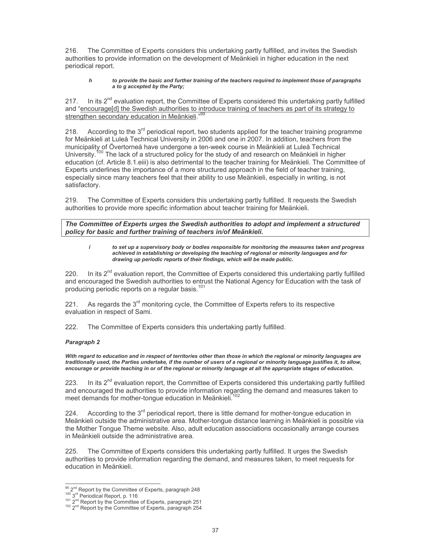The Committee of Experts considers this undertaking partly fulfilled, and invites the Swedish 216. authorities to provide information on the development of Meänkieli in higher education in the next periodical report.

#### $\boldsymbol{h}$ to provide the basic and further training of the teachers required to implement those of paragraphs a to g accepted by the Party:

In its  $2^{nd}$  evaluation report, the Committee of Experts considered this undertaking partly fulfilled 217. and "encourage[d] the Swedish authorities to introduce training of teachers as part of its strategy to strengthen secondary education in Meänkieli."<sup>99</sup>

According to the  $3<sup>rd</sup>$  periodical report, two students applied for the teacher training programme 218. for Meänkieli at Luleå Technical University in 2006 and one in 2007. In addition, teachers from the municipality of Övertorneå have undergone a ten-week course in Meänkieli at Luleå Technical University.<sup>100</sup> The lack of a structured policy for the study of and research on Meänkieli in higher education (cf. Article 8.1.eiii) is also detrimental to the teacher training for Meänkieli. The Committee of Experts underlines the importance of a more structured approach in the field of teacher training, especially since many teachers feel that their ability to use Meänkieli, especially in writing, is not satisfactory.

219. The Committee of Experts considers this undertaking partly fulfilled. It requests the Swedish authorities to provide more specific information about teacher training for Meänkieli.

The Committee of Experts urges the Swedish authorities to adopt and implement a structured policy for basic and further training of teachers in/of Meänkieli.

 $\mathbf{i}$ to set up a supervisory body or bodies responsible for monitoring the measures taken and progress achieved in establishing or developing the teaching of regional or minority languages and for drawing up periodic reports of their findings, which will be made public.

In its 2<sup>nd</sup> evaluation report, the Committee of Experts considered this undertaking partly fulfilled 220. and encouraged the Swedish authorities to entrust the National Agency for Education with the task of producing periodic reports on a regular basis.<sup>101</sup>

As regards the 3<sup>rd</sup> monitoring cycle, the Committee of Experts refers to its respective  $221.$ evaluation in respect of Sami.

222. The Committee of Experts considers this undertaking partly fulfilled.

### Paragraph 2

With regard to education and in respect of territories other than those in which the regional or minority languages are traditionally used, the Parties undertake, if the number of users of a regional or minority language justifies it, to allow, encourage or provide teaching in or of the regional or minority language at all the appropriate stages of education.

223. In its  $2<sup>nd</sup>$  evaluation report, the Committee of Experts considered this undertaking partly fulfilled and encouraged the authorities to provide information regarding the demand and measures taken to meet demands for mother-tongue education in Meänkieli.<sup>102</sup>

According to the 3<sup>rd</sup> periodical report, there is little demand for mother-tongue education in 224. Meänkieli outside the administrative area. Mother-tongue distance learning in Meänkieli is possible via the Mother Tongue Theme website. Also, adult education associations occasionally arrange courses in Meänkieli outside the administrative area.

225. The Committee of Experts considers this undertaking partly fulfilled. It urges the Swedish authorities to provide information regarding the demand, and measures taken, to meet requests for education in Meänkieli.

<sup>99 2&</sup>lt;sup>nd</sup> Report by the Committee of Experts, paragraph 248

<sup>&</sup>lt;sup>102</sup> Report by the Committee of Experts, paragraph 251<br><sup>101</sup> 2<sup>nd</sup> Report by the Committee of Experts, paragraph 251<br><sup>102</sup> 2<sup>nd</sup> Report by the Committee of Experts, paragraph 254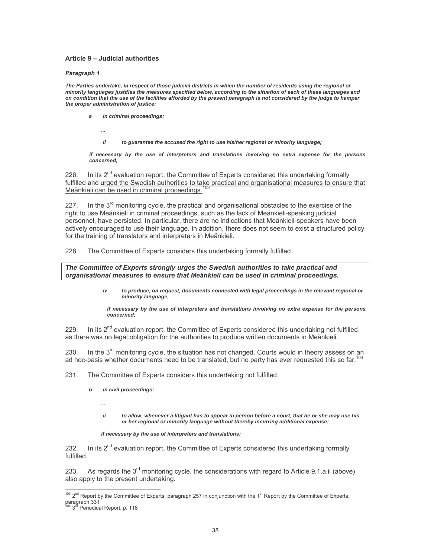### Article 9 - Judicial authorities

#### Paragraph 1

The Parties undertake, in respect of those judicial districts in which the number of residents using the regional or minority languages justifies the measures specified below, according to the situation of each of these languages and on condition that the use of the facilities afforded by the present paragraph is not considered by the judge to hamper the proper administration of justice:

in criminal proceedings: a

ii to guarantee the accused the right to use his/her regional or minority language;

if necessary by the use of interpreters and translations involving no extra expense for the persons concerned:

226. In its  $2^{nd}$  evaluation report, the Committee of Experts considered this undertaking formally fulfilled and urged the Swedish authorities to take practical and organisational measures to ensure that Meänkieli can be used in criminal proceedings.

In the 3<sup>rd</sup> monitoring cycle, the practical and organisational obstacles to the exercise of the 227. right to use Meänkieli in criminal proceedings, such as the lack of Meänkieli-speaking judicial personnel, have persisted. In particular, there are no indications that Meänkieli-speakers have been actively encouraged to use their language. In addition, there does not seem to exist a structured policy for the training of translators and interpreters in Meänkieli.

228. The Committee of Experts considers this undertaking formally fulfilled.

The Committee of Experts strongly urges the Swedish authorities to take practical and organisational measures to ensure that Meänkieli can be used in criminal proceedings.

> $iv$ to produce, on request, documents connected with legal proceedings in the relevant regional or minority language,

if necessary by the use of interpreters and translations involving no extra expense for the persons concerned:

In its  $2^{nd}$  evaluation report, the Committee of Experts considered this undertaking not fulfilled 229. as there was no legal obligation for the authorities to produce written documents in Meänkieli.

230. In the 3<sup>rd</sup> monitoring cycle, the situation has not changed. Courts would in theory assess on an ad hoc-basis whether documents need to be translated, but no party has ever requested this so far.<sup>104</sup>

- 231. The Committee of Experts considers this undertaking not fulfilled.
	- in civil proceedings:  $\mathbf b$ 
		- $\ddotsc$
		- ii to allow, whenever a litigant has to appear in person before a court, that he or she may use his or her regional or minority language without thereby incurring additional expense;

if necessary by the use of interpreters and translations;

In its  $2^{nd}$  evaluation report, the Committee of Experts considered this undertaking formally 232. fulfilled

233. As regards the 3<sup>rd</sup> monitoring cycle, the considerations with regard to Article 9.1.a.ii (above) also apply to the present undertaking.

<sup>103 2&</sup>lt;sup>nd</sup> Report by the Committee of Experts, paragraph 257 in conjunction with the 1<sup>st</sup> Report by the Committee of Experts, paragraph 331<br><sup>104</sup> 3<sup>rd</sup> Periodical Report, p. 118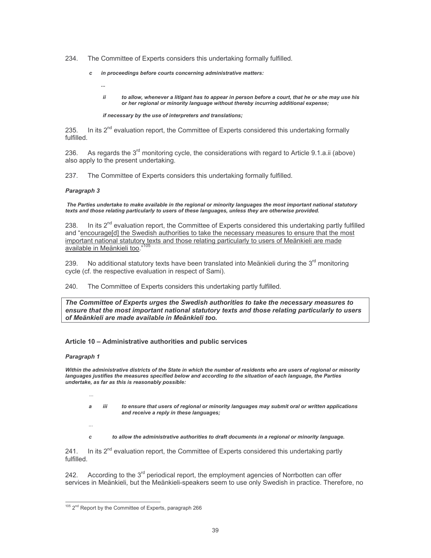234. The Committee of Experts considers this undertaking formally fulfilled.

- in proceedings before courts concerning administrative matters:  $\pmb{c}$ 
	- ii to allow, whenever a litigant has to appear in person before a court, that he or she may use his or her regional or minority language without thereby incurring additional expense;

### if necessary by the use of interpreters and translations;

In its 2<sup>nd</sup> evaluation report, the Committee of Experts considered this undertaking formally 235. fulfilled.

As regards the  $3<sup>rd</sup>$  monitoring cycle, the considerations with regard to Article 9.1.a.ii (above) 236. also apply to the present undertaking.

The Committee of Experts considers this undertaking formally fulfilled. 237.

### Paragraph 3

The Parties undertake to make available in the regional or minority languages the most important national statutory texts and those relating particularly to users of these languages, unless they are otherwise provided.

In its  $2^{nd}$  evaluation report, the Committee of Experts considered this undertaking partly fulfilled 238. and "encourage[d] the Swedish authorities to take the necessary measures to ensure that the most important national statutory texts and those relating particularly to users of Meänkieli are made available in Meänkieli too.

No additional statutory texts have been translated into Meänkieli during the 3<sup>rd</sup> monitoring 239. cycle (cf. the respective evaluation in respect of Sami).

240. The Committee of Experts considers this undertaking partly fulfilled.

The Committee of Experts urges the Swedish authorities to take the necessary measures to ensure that the most important national statutory texts and those relating particularly to users of Meänkieli are made available in Meänkieli too.

## Article 10 - Administrative authorities and public services

### Paragraph 1

Within the administrative districts of the State in which the number of residents who are users of regional or minority languages justifies the measures specified below and according to the situation of each language, the Parties undertake, as far as this is reasonably possible:

- a
	- iii to ensure that users of regional or minority languages may submit oral or written applications and receive a reply in these languages;
- 
- $\mathbf{c}$ to allow the administrative authorities to draft documents in a regional or minority language.

In its  $2^{nd}$  evaluation report, the Committee of Experts considered this undertaking partly  $241.$ fulfilled

According to the  $3<sup>rd</sup>$  periodical report, the employment agencies of Norrbotten can offer 242. services in Meänkieli, but the Meänkieli-speakers seem to use only Swedish in practice. Therefore, no

<sup>105 2&</sup>lt;sup>nd</sup> Report by the Committee of Experts, paragraph 266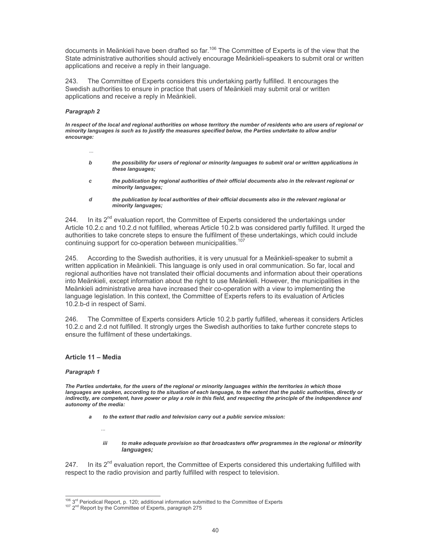documents in Meänkieli have been drafted so far.<sup>106</sup> The Committee of Experts is of the view that the State administrative authorities should actively encourage Meänkieli-speakers to submit oral or written applications and receive a reply in their language.

243. The Committee of Experts considers this undertaking partly fulfilled. It encourages the Swedish authorities to ensure in practice that users of Meänkieli may submit oral or written applications and receive a reply in Meänkieli.

### Paragraph 2

 $\ddotsc$ 

In respect of the local and regional authorities on whose territory the number of residents who are users of regional or minority languages is such as to justify the measures specified below, the Parties undertake to allow and/or encourage:

- b the possibility for users of regional or minority languages to submit oral or written applications in these languages;
- the publication by regional authorities of their official documents also in the relevant regional or  $\epsilon$ minority languages;
- d the publication by local authorities of their official documents also in the relevant regional or minority languages;

In its  $2^{nd}$  evaluation report, the Committee of Experts considered the undertakings under 244. Article 10.2.c and 10.2.d not fulfilled, whereas Article 10.2.b was considered partly fulfilled. It urged the authorities to take concrete steps to ensure the fulfilment of these undertakings, which could include continuing support for co-operation between municipalities.<sup>107</sup>

245. According to the Swedish authorities, it is very unusual for a Meänkieli-speaker to submit a written application in Meänkieli. This language is only used in oral communication. So far, local and regional authorities have not translated their official documents and information about their operations into Meänkieli, except information about the right to use Meänkieli. However, the municipalities in the Meänkieli administrative area have increased their co-operation with a view to implementing the language legislation. In this context, the Committee of Experts refers to its evaluation of Articles 10.2.b-d in respect of Sami.

246. The Committee of Experts considers Article 10.2.b partly fulfilled, whereas it considers Articles 10.2.c and 2.d not fulfilled. It strongly urges the Swedish authorities to take further concrete steps to ensure the fulfilment of these undertakings.

### Article 11 - Media

#### Paragraph 1

The Parties undertake, for the users of the regional or minority languages within the territories in which those languages are spoken, according to the situation of each language, to the extent that the public authorities, directly or indirectly, are competent, have power or play a role in this field, and respecting the principle of the independence and autonomy of the media:

- a to the extent that radio and television carry out a public service mission:
	- iii to make adequate provision so that broadcasters offer programmes in the regional or minority languages;

In its  $2^{nd}$  evaluation report, the Committee of Experts considered this undertaking fulfilled with 247. respect to the radio provision and partly fulfilled with respect to television.

 $106$  3<sup>rd</sup> Periodical Report, p. 120; additional information submitted to the Committee of Experts

<sup>&</sup>lt;sup>107</sup> 2<sup>nd</sup> Report by the Committee of Experts, paragraph 275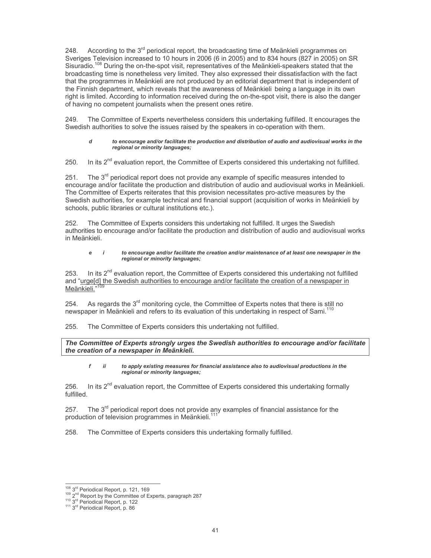248. According to the  $3<sup>rd</sup>$  periodical report, the broadcasting time of Meänkieli programmes on Sveriges Television increased to 10 hours in 2006 (6 in 2005) and to 834 hours (827 in 2005) on SR Sisuradio.<sup>108</sup> During the on-the-spot visit, representatives of the Meankieli-speakers stated that the broadcasting time is nonetheless very limited. They also expressed their dissatisfaction with the fact that the programmes in Meänkieli are not produced by an editorial department that is independent of the Finnish department, which reveals that the awareness of Meänkieli being a language in its own right is limited. According to information received during the on-the-spot visit, there is also the danger of having no competent journalists when the present ones retire.

The Committee of Experts nevertheless considers this undertaking fulfilled. It encourages the Swedish authorities to solve the issues raised by the speakers in co-operation with them.

#### to encourage and/or facilitate the production and distribution of audio and audiovisual works in the regional or minority languages;

In its  $2<sup>nd</sup>$  evaluation report, the Committee of Experts considered this undertaking not fulfilled.  $250.$ 

 $251$ The  $3<sup>rd</sup>$  periodical report does not provide any example of specific measures intended to encourage and/or facilitate the production and distribution of audio and audiovisual works in Meänkieli. The Committee of Experts reiterates that this provision necessitates pro-active measures by the Swedish authorities, for example technical and financial support (acquisition of works in Meänkieli by schools, public libraries or cultural institutions etc.).

The Committee of Experts considers this undertaking not fulfilled. It urges the Swedish authorities to encourage and/or facilitate the production and distribution of audio and audiovisual works in Meänkieli

#### e  $\overline{I}$ to encourage and/or facilitate the creation and/or maintenance of at least one newspaper in the regional or minority languages;

In its 2<sup>nd</sup> evaluation report, the Committee of Experts considered this undertaking not fulfilled 253. and "urge[d] the Swedish authorities to encourage and/or facilitate the creation of a newspaper in Meänkieli."

254. As regards the  $3<sup>rd</sup>$  monitoring cycle, the Committee of Experts notes that there is still no newspaper in Meänkieli and refers to its evaluation of this undertaking in respect of Sami.<sup>110</sup>

255. The Committee of Experts considers this undertaking not fulfilled.

The Committee of Experts strongly urges the Swedish authorities to encourage and/or facilitate the creation of a newspaper in Meänkieli.

#### to apply existing measures for financial assistance also to audiovisual productions in the f  $\ddot{ii}$ regional or minority languages;

In its 2<sup>nd</sup> evaluation report, the Committee of Experts considered this undertaking formally 256. fulfilled.

257 The  $3<sup>rd</sup>$  periodical report does not provide any examples of financial assistance for the production of television programmes in Meankieli.<sup>11</sup>

258. The Committee of Experts considers this undertaking formally fulfilled.

<sup>108 3</sup>rd Periodical Report, p. 121, 169

<sup>&</sup>lt;sup>109</sup> 2<sup>nd</sup> Report by the Committee of Experts, paragraph 287<br><sup>110</sup> 3<sup>rd</sup> Periodical Report, p. 122<br><sup>111</sup> 3<sup>rd</sup> Periodical Report, p. 186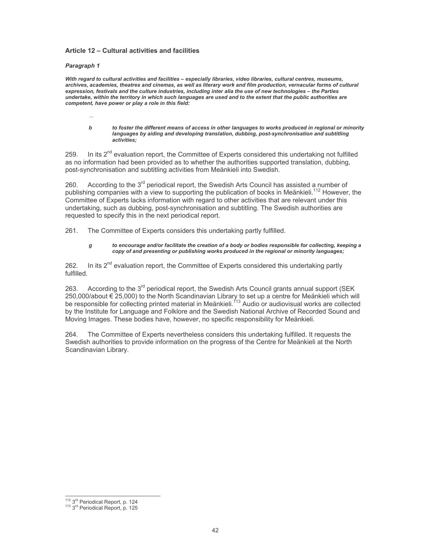## Article 12 - Cultural activities and facilities

#### Paragraph 1

With regard to cultural activities and facilities - especially libraries, video libraries, cultural centres, museums, archives, academies, theatres and cinemas, as well as literary work and film production, vernacular forms of cultural expression, festivals and the culture industries, including inter alia the use of new technologies - the Parties undertake, within the territory in which such languages are used and to the extent that the public authorities are competent, have power or play a role in this field:

 $\mathbf{h}$ to foster the different means of access in other languages to works produced in regional or minority languages by aiding and developing translation, dubbing, post-synchronisation and subtitling activities:

In its 2<sup>nd</sup> evaluation report, the Committee of Experts considered this undertaking not fulfilled 259 as no information had been provided as to whether the authorities supported translation, dubbing, post-synchronisation and subtitling activities from Meänkieli into Swedish.

According to the 3<sup>rd</sup> periodical report, the Swedish Arts Council has assisted a number of 260 publishing companies with a view to supporting the publication of books in Meänkieli.<sup>112</sup> However, the Committee of Experts lacks information with regard to other activities that are relevant under this undertaking, such as dubbing, post-synchronisation and subtitling. The Swedish authorities are requested to specify this in the next periodical report.

261. The Committee of Experts considers this undertaking partly fulfilled.

#### to encourage and/or facilitate the creation of a body or bodies responsible for collecting, keeping a  $\boldsymbol{g}$ copy of and presenting or publishing works produced in the regional or minority languages;

In its  $2^{nd}$  evaluation report, the Committee of Experts considered this undertaking partly 262. fulfilled.

According to the 3<sup>rd</sup> periodical report, the Swedish Arts Council grants annual support (SEK 263. 250,000/about € 25,000) to the North Scandinavian Library to set up a centre for Meänkieli which will<br>be responsible for collecting printed material in Meänkieli.<sup>113</sup> Audio or audiovisual works are collected by the Institute for Language and Folklore and the Swedish National Archive of Recorded Sound and Moving Images. These bodies have, however, no specific responsibility for Meänkieli.

The Committee of Experts nevertheless considers this undertaking fulfilled. It requests the 264. Swedish authorities to provide information on the progress of the Centre for Meänkieli at the North Scandinavian Library.

 $\frac{112}{112}$  3<sup>rd</sup> Periodical Report, p. 124<br><sup>113</sup> 3<sup>rd</sup> Periodical Report, p. 125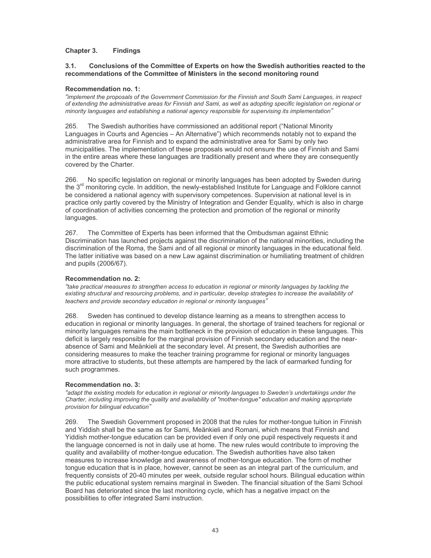#### Chapter 3. **Findings**

#### $3<sub>1</sub>$ Conclusions of the Committee of Experts on how the Swedish authorities reacted to the recommendations of the Committee of Ministers in the second monitoring round

## **Recommendation no. 1:**

"implement the proposals of the Government Commission for the Finnish and South Sami Languages, in respect of extending the administrative areas for Finnish and Sami, as well as adopting specific legislation on regional or minority languages and establishing a national agency responsible for supervising its implementation"

265. The Swedish authorities have commissioned an additional report ("National Minority") Languages in Courts and Agencies – An Alternative") which recommends notably not to expand the administrative area for Finnish and to expand the administrative area for Sami by only two municipalities. The implementation of these proposals would not ensure the use of Finnish and Sami in the entire areas where these languages are traditionally present and where they are consequently covered by the Charter.

266. No specific legislation on regional or minority languages has been adopted by Sweden during the 3<sup>rd</sup> monitoring cycle. In addition, the newly-established Institute for Language and Folklore cannot be considered a national agency with supervisory competences. Supervision at national level is in practice only partly covered by the Ministry of Integration and Gender Equality, which is also in charge of coordination of activities concerning the protection and promotion of the regional or minority languages.

267. The Committee of Experts has been informed that the Ombudsman against Ethnic Discrimination has launched projects against the discrimination of the national minorities, including the discrimination of the Roma, the Sami and of all regional or minority languages in the educational field. The latter initiative was based on a new Law against discrimination or humiliating treatment of children and pupils (2006/67).

### Recommendation no. 2:

"take practical measures to strengthen access to education in regional or minority languages by tackling the existing structural and resourcing problems, and in particular, develop strategies to increase the availability of teachers and provide secondary education in regional or minority languages"

268. Sweden has continued to develop distance learning as a means to strengthen access to education in regional or minority languages. In general, the shortage of trained teachers for regional or minority languages remains the main bottleneck in the provision of education in these languages. This deficit is largely responsible for the marginal provision of Finnish secondary education and the nearabsence of Sami and Meänkieli at the secondary level. At present, the Swedish authorities are considering measures to make the teacher training programme for regional or minority languages more attractive to students, but these attempts are hampered by the lack of earmarked funding for such programmes.

### **Recommendation no. 3:**

"adapt the existing models for education in regional or minority languages to Sweden's undertakings under the Charter, including improving the quality and availability of "mother-tongue" education and making appropriate provision for bilingual education"

269. The Swedish Government proposed in 2008 that the rules for mother-tongue tuition in Finnish and Yiddish shall be the same as for Sami, Meänkieli and Romani, which means that Finnish and Yiddish mother-tongue education can be provided even if only one pupil respectively requests it and the language concerned is not in daily use at home. The new rules would contribute to improving the quality and availability of mother-tongue education. The Swedish authorities have also taken measures to increase knowledge and awareness of mother-tongue education. The form of mother tongue education that is in place, however, cannot be seen as an integral part of the curriculum, and frequently consists of 20-40 minutes per week, outside regular school hours. Bilingual education within the public educational system remains marginal in Sweden. The financial situation of the Sami School Board has deteriorated since the last monitoring cycle, which has a negative impact on the possibilities to offer integrated Sami instruction.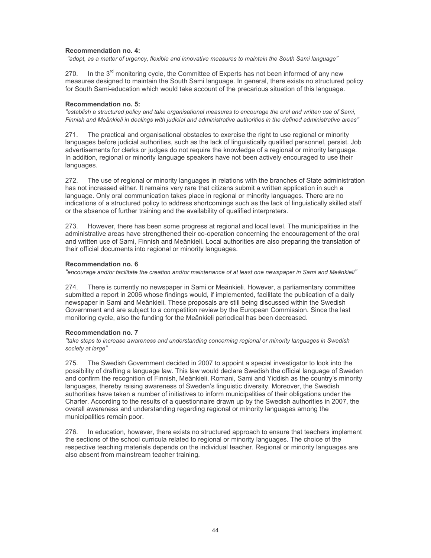## **Recommendation no. 4:**

"adopt, as a matter of urgency, flexible and innovative measures to maintain the South Sami language"

In the 3<sup>rd</sup> monitoring cycle, the Committee of Experts has not been informed of any new 270. measures designed to maintain the South Sami language. In general, there exists no structured policy for South Sami-education which would take account of the precarious situation of this language.

### **Recommendation no. 5:**

"establish a structured policy and take organisational measures to encourage the oral and written use of Sami, Finnish and Meänkieli in dealings with judicial and administrative authorities in the defined administrative areas"

 $271.$ The practical and organisational obstacles to exercise the right to use regional or minority languages before judicial authorities, such as the lack of linguistically qualified personnel, persist. Job advertisements for clerks or judges do not require the knowledge of a regional or minority language. In addition, regional or minority language speakers have not been actively encouraged to use their languages.

The use of regional or minority languages in relations with the branches of State administration 272 has not increased either. It remains very rare that citizens submit a written application in such a language. Only oral communication takes place in regional or minority languages. There are no indications of a structured policy to address shortcomings such as the lack of linguistically skilled staff or the absence of further training and the availability of qualified interpreters.

273. However, there has been some progress at regional and local level. The municipalities in the administrative areas have strengthened their co-operation concerning the encouragement of the oral and written use of Sami, Finnish and Meänkieli. Local authorities are also preparing the translation of their official documents into regional or minority languages.

## **Recommendation no. 6**

"encourage and/or facilitate the creation and/or maintenance of at least one newspaper in Sami and Meänkieli"

There is currently no newspaper in Sami or Meänkieli. However, a parliamentary committee  $274$ submitted a report in 2006 whose findings would, if implemented, facilitate the publication of a daily newspaper in Sami and Meänkieli. These proposals are still being discussed within the Swedish Government and are subject to a competition review by the European Commission. Since the last monitoring cycle, also the funding for the Meänkieli periodical has been decreased.

### Recommendation no. 7

"take steps to increase awareness and understanding concerning regional or minority languages in Swedish society at large"

275 The Swedish Government decided in 2007 to appoint a special investigator to look into the possibility of drafting a language law. This law would declare Swedish the official language of Sweden and confirm the recognition of Finnish, Meänkieli, Romani, Sami and Yiddish as the country's minority languages, thereby raising awareness of Sweden's linguistic diversity. Moreover, the Swedish authorities have taken a number of initiatives to inform municipalities of their obligations under the Charter. According to the results of a questionnaire drawn up by the Swedish authorities in 2007, the overall awareness and understanding regarding regional or minority languages among the municipalities remain poor.

In education, however, there exists no structured approach to ensure that teachers implement 276. the sections of the school curricula related to regional or minority languages. The choice of the respective teaching materials depends on the individual teacher. Regional or minority languages are also absent from mainstream teacher training.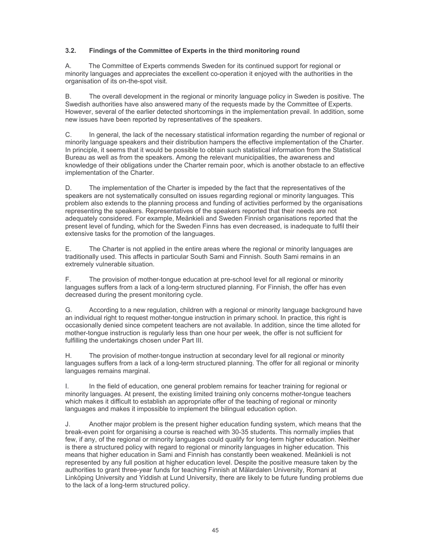#### $3.2.$ Findings of the Committee of Experts in the third monitoring round

 $A<sub>1</sub>$ The Committee of Experts commends Sweden for its continued support for regional or minority languages and appreciates the excellent co-operation it enjoyed with the authorities in the organisation of its on-the-spot visit.

**B.** The overall development in the regional or minority language policy in Sweden is positive. The Swedish authorities have also answered many of the requests made by the Committee of Experts. However, several of the earlier detected shortcomings in the implementation prevail. In addition, some new issues have been reported by representatives of the speakers.

C. In general, the lack of the necessary statistical information regarding the number of regional or minority language speakers and their distribution hampers the effective implementation of the Charter. In principle, it seems that it would be possible to obtain such statistical information from the Statistical Bureau as well as from the speakers. Among the relevant municipalities, the awareness and knowledge of their obligations under the Charter remain poor, which is another obstacle to an effective implementation of the Charter.

 $D_{\cdot}$ The implementation of the Charter is impeded by the fact that the representatives of the speakers are not systematically consulted on issues regarding regional or minority languages. This problem also extends to the planning process and funding of activities performed by the organisations representing the speakers. Representatives of the speakers reported that their needs are not adequately considered. For example, Meänkieli and Sweden Finnish organisations reported that the present level of funding, which for the Sweden Finns has even decreased, is inadequate to fulfil their extensive tasks for the promotion of the languages.

Е. The Charter is not applied in the entire areas where the regional or minority languages are traditionally used. This affects in particular South Sami and Finnish. South Sami remains in an extremely vulnerable situation.

The provision of mother-tonque education at pre-school level for all regional or minority  $F_{\perp}$ languages suffers from a lack of a long-term structured planning. For Finnish, the offer has even decreased during the present monitoring cycle.

According to a new regulation, children with a regional or minority language background have G. an individual right to request mother-tongue instruction in primary school. In practice, this right is occasionally denied since competent teachers are not available. In addition, since the time alloted for mother-tonque instruction is regularly less than one hour per week, the offer is not sufficient for fulfilling the undertakings chosen under Part III.

The provision of mother-tongue instruction at secondary level for all regional or minority Η. languages suffers from a lack of a long-term structured planning. The offer for all regional or minority languages remains marginal.

In the field of education, one general problem remains for teacher training for regional or  $\mathbf{L}$ minority languages. At present, the existing limited training only concerns mother-tongue teachers which makes it difficult to establish an appropriate offer of the teaching of regional or minority languages and makes it impossible to implement the bilingual education option.

Another major problem is the present higher education funding system, which means that the J. break-even point for organising a course is reached with 30-35 students. This normally implies that few, if any, of the regional or minority languages could gualify for long-term higher education. Neither is there a structured policy with regard to regional or minority languages in higher education. This means that higher education in Sami and Finnish has constantly been weakened. Meänkieli is not represented by any full position at higher education level. Despite the positive measure taken by the authorities to grant three-year funds for teaching Finnish at Mälardalen University, Romani at Linköping University and Yiddish at Lund University, there are likely to be future funding problems due to the lack of a long-term structured policy.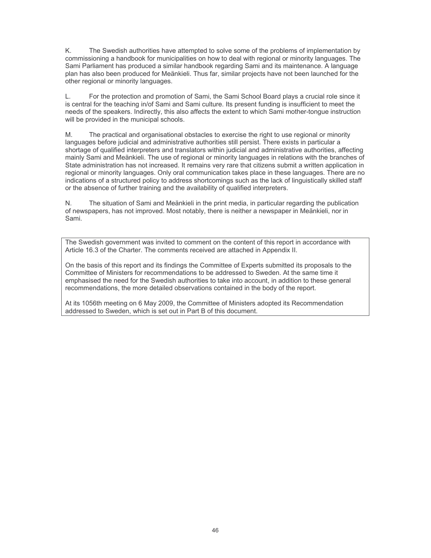K. The Swedish authorities have attempted to solve some of the problems of implementation by commissioning a handbook for municipalities on how to deal with regional or minority languages. The Sami Parliament has produced a similar handbook regarding Sami and its maintenance. A language plan has also been produced for Meänkieli. Thus far, similar projects have not been launched for the other regional or minority languages.

For the protection and promotion of Sami, the Sami School Board plays a crucial role since it L. is central for the teaching in/of Sami and Sami culture. Its present funding is insufficient to meet the needs of the speakers. Indirectly, this also affects the extent to which Sami mother-tongue instruction will be provided in the municipal schools.

 $M_{\cdot}$ The practical and organisational obstacles to exercise the right to use regional or minority languages before judicial and administrative authorities still persist. There exists in particular a shortage of qualified interpreters and translators within judicial and administrative authorities, affecting mainly Sami and Meänkieli. The use of regional or minority languages in relations with the branches of State administration has not increased. It remains very rare that citizens submit a written application in regional or minority languages. Only oral communication takes place in these languages. There are no indications of a structured policy to address shortcomings such as the lack of linguistically skilled staff or the absence of further training and the availability of qualified interpreters.

The situation of Sami and Meänkieli in the print media, in particular regarding the publication  $N_{\odot}$ of newspapers, has not improved. Most notably, there is neither a newspaper in Meänkieli, nor in Sami.

The Swedish government was invited to comment on the content of this report in accordance with Article 16.3 of the Charter. The comments received are attached in Appendix II.

On the basis of this report and its findings the Committee of Experts submitted its proposals to the Committee of Ministers for recommendations to be addressed to Sweden. At the same time it emphasised the need for the Swedish authorities to take into account, in addition to these general recommendations, the more detailed observations contained in the body of the report.

At its 1056th meeting on 6 May 2009, the Committee of Ministers adopted its Recommendation addressed to Sweden, which is set out in Part B of this document.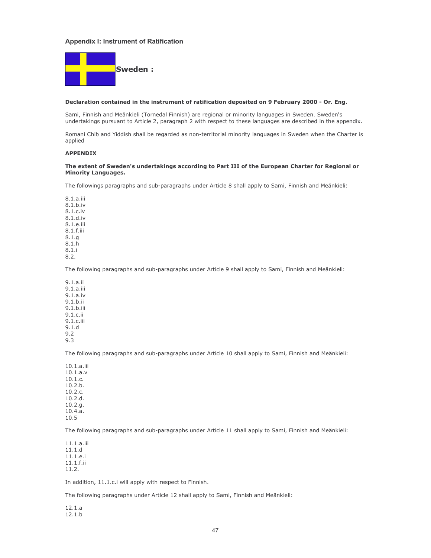#### **Appendix I: Instrument of Ratification**



#### Declaration contained in the instrument of ratification deposited on 9 February 2000 - Or. Eng.

Sami, Finnish and Meänkieli (Tornedal Finnish) are regional or minority languages in Sweden. Sweden's undertakings pursuant to Article 2, paragraph 2 with respect to these languages are described in the appendix.

Romani Chib and Yiddish shall be regarded as non-territorial minority languages in Sweden when the Charter is applied

#### **APPENDIX**

#### The extent of Sweden's undertakings according to Part III of the European Charter for Regional or **Minority Languages.**

The followings paragraphs and sub-paragraphs under Article 8 shall apply to Sami, Finnish and Meänkieli:

8.1.a.iii  $8.1.b.$ iv 8.1.c.iv 8.1.d.iv  $81$  e iii 8.1.f.iii  $8.1.g$  $8.1.\overline{h}$  $8.1 i$  $8.2.$ 

The following paragraphs and sub-paragraphs under Article 9 shall apply to Sami, Finnish and Meänkieli:

 $9.1.a.$ ii  $9.1.a.$ iii  $9.1.a.iv$  $9.1.b.$ ii  $9.1.b.$ iii  $9.1.c.$ ii  $91c$ iii  $9.1.d$  $9.2$  $9.3$ 

The following paragraphs and sub-paragraphs under Article 10 shall apply to Sami, Finnish and Meänkieli:

10.1.a.iii  $10.1.a.v$  $10.1.c.$  $10.2.b.$  $10.2.c.$  $10.2.d.$  $10.2.q.$  $10.4.\bar{a}.$ 10.5

The following paragraphs and sub-paragraphs under Article 11 shall apply to Sami, Finnish and Meänkieli:

 $11.1.a.iii$  $11.1.d$ 11.1.e.i  $11.1.f.$ ii  $11.2.$ 

In addition, 11.1.c.i will apply with respect to Finnish.

The following paragraphs under Article 12 shall apply to Sami, Finnish and Meänkieli:

 $12.1.a$  $12.1.b$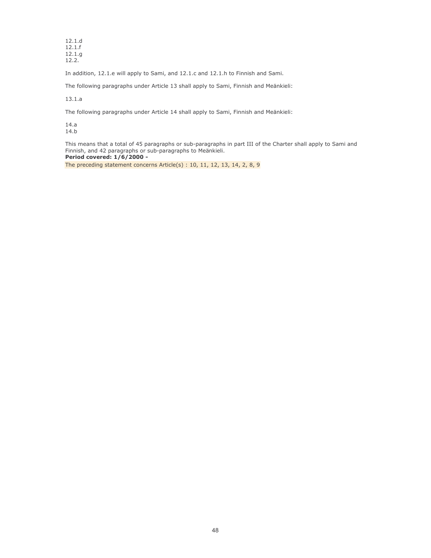$12.1.d$  $12.1.f$ 12.1.g  $12.2.$ 

In addition, 12.1.e will apply to Sami, and 12.1.c and 12.1.h to Finnish and Sami.

The following paragraphs under Article 13 shall apply to Sami, Finnish and Meänkieli:

 $13.1.a$ 

The following paragraphs under Article 14 shall apply to Sami, Finnish and Meänkieli:

 $14.a$ 14.b

This means that a total of 45 paragraphs or sub-paragraphs in part III of the Charter shall apply to Sami and Finnish, and 42 paragraphs or sub-paragraphs to Meankieli. Period covered: 1/6/2000 -

The preceding statement concerns Article(s) : 10, 11, 12, 13, 14, 2, 8, 9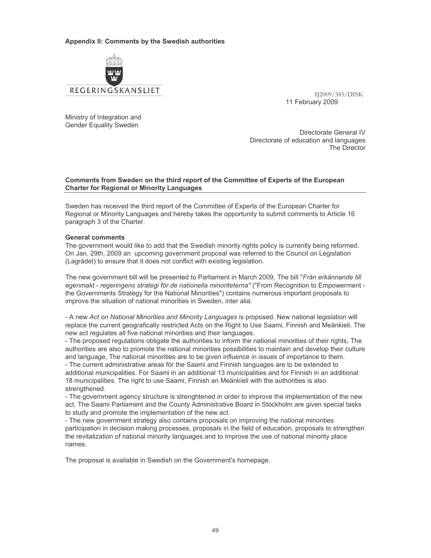### Appendix II: Comments by the Swedish authorities



IJ2009/385/DISK 11 February 2009

Ministry of Integration and **Gender Equality Sweden** 

Directorate General IV Directorate of education and languages The Director

## Comments from Sweden on the third report of the Committee of Experts of the European **Charter for Regional or Minority Languages**

Sweden has received the third report of the Committee of Experts of the European Charter for Regional or Minority Languages and hereby takes the opportunity to submit comments to Article 16 paragraph 3 of the Charter.

### **General comments**

The government would like to add that the Swedish minority rights policy is currently being reformed. On Jan. 29th, 2009 an upcoming government proposal was referred to the Council on Legislation (Lagrådet) to ensure that it does not conflict with existing legislation.

The new government bill will be presented to Parliament in March 2009. The bill "Från erkännande till egenmakt - regeringens strategi för de nationella minoriteterna" ("From Recognition to Empowerment the Governments Strategy for the National Minorities") contains numerous important proposals to improve the situation of national minorities in Sweden, inter alia:

- A new Act on National Minorities and Minority Languages is proposed. New national legislation will replace the current geografically restricted Acts on the Right to Use Saami, Finnish and Meänkieli. The new act regulates all five national minorities and their languages.

- The proposed regulations obligate the authorities to inform the national minorities of their rights, The authorities are also to promote the national minorities possibilities to maintain and develop their culture and language. The national minorities are to be given influence in issues of importance to them.

- The current administrative areas för the Saami and Finnish languages are to be extended to additional municipalities. For Saami in an additional 13 municipalities and for Finnish in an additional 18 municipalities. The right to use Saami, Finnish an Meänkieli with the authorities is also strengthened.

- The government agency structure is strenghtened in order to improve the implementation of the new act. The Saami Parliament and the County Administrative Board in Stockholm are given special tasks to study and promote the implementation of the new act.

- The new government strategy also contains proposals on improving the national minorities participation in decision making processes, proposals in the field of education, proposals to strengthen the revitalization of national minority languages and to improve the use of national minority place names.

The proposal is available in Swedish on the Government's homepage.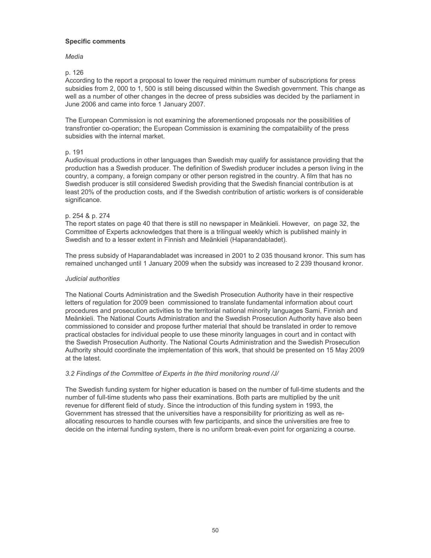### **Specific comments**

### Media

## p. 126

According to the report a proposal to lower the required minimum number of subscriptions for press subsidies from 2, 000 to 1, 500 is still being discussed within the Swedish government. This change as well as a number of other changes in the decree of press subsidies was decided by the parliament in June 2006 and came into force 1 January 2007.

The European Commission is not examining the aforementioned proposals nor the possibilities of transfrontier co-operation; the European Commission is examining the compataibility of the press subsidies with the internal market.

## p. 191

Audiovisual productions in other languages than Swedish may qualify for assistance providing that the production has a Swedish producer. The definition of Swedish producer includes a person living in the country, a company, a foreign company or other person registred in the country. A film that has no Swedish producer is still considered Swedish providing that the Swedish financial contribution is at least 20% of the production costs, and if the Swedish contribution of artistic workers is of considerable significance.

## p. 254 & p. 274

The report states on page 40 that there is still no newspaper in Meänkieli. However, on page 32, the Committee of Experts acknowledges that there is a trilingual weekly which is published mainly in Swedish and to a lesser extent in Finnish and Meänkieli (Haparandabladet).

The press subsidy of Haparandabladet was increased in 2001 to 2 035 thousand kronor. This sum has remained unchanged until 1 January 2009 when the subsidy was increased to 2 239 thousand kronor.

## Judicial authorities

The National Courts Administration and the Swedish Prosecution Authority have in their respective letters of regulation for 2009 been commissioned to translate fundamental information about court procedures and prosecution activities to the territorial national minority languages Sami, Finnish and Meänkieli. The National Courts Administration and the Swedish Prosecution Authority have also been commissioned to consider and propose further material that should be translated in order to remove practical obstacles for individual people to use these minority languages in court and in contact with the Swedish Prosecution Authority. The National Courts Administration and the Swedish Prosecution Authority should coordinate the implementation of this work, that should be presented on 15 May 2009 at the latest.

## 3.2 Findings of the Committee of Experts in the third monitoring round /J/

The Swedish funding system for higher education is based on the number of full-time students and the number of full-time students who pass their examinations. Both parts are multiplied by the unit revenue for different field of study. Since the introduction of this funding system in 1993, the Government has stressed that the universities have a responsibility for prioritizing as well as reallocating resources to handle courses with few participants, and since the universities are free to decide on the internal funding system, there is no uniform break-even point for organizing a course.